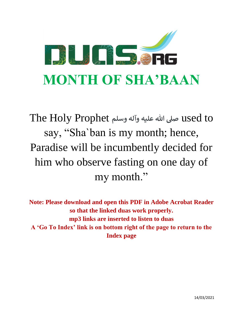

 to used **صىل هللا عليه وآله وسلم** Prophet Holy The say, "Sha`ban is my month; hence, Paradise will be incumbently decided for him who observe fasting on one day of my month."

**Note: Please download and open this PDF in Adobe Acrobat Reader so that the linked duas work properly. mp3 links are inserted to listen to duas A 'Go To Index' link is on bottom right of the page to return to the Index page**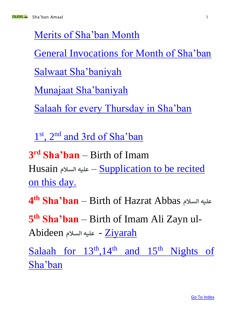

<span id="page-1-0"></span>[Merits of Sha'ban Month](#page-3-0)

General Invocations [for Month of Sha'ban](#page-7-0)

[Salwaat Sha'baniyah](#page-10-0)

[Munajaat Sha'baniyah](#page-22-0)

[Salaah for every Thursday in Sha'ban](#page-55-0)

1<sup>st</sup>, 2<sup>nd</sup> [and 3rd of Sha'ban](#page-56-0)

**3 rd Sha'ban** – Birth of Imam Husain **السالم عليه** – [Supplication to be recited](#page-58-0)  [on this day.](#page-58-0)

**4 th Sha'ban** – Birth of Hazrat Abbas **السالم عليه**

**5 th Sha'ban** – Birth of Imam Ali Zayn ul-Abideen **السالم عليه** - [Ziyarah](#page-76-0)

Salaah for  $13<sup>th</sup>,14<sup>th</sup>$  and  $15<sup>th</sup>$  Nights of [Sha'ban](#page-79-0)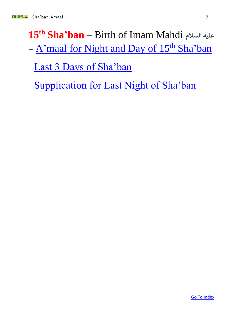# **15th Sha'ban** – Birth of Imam Mahdi **السالم عليه** - [A'maal for Night and Day of 15](http://www.duas.org/pdfs/15th%20Shaban%20Night%20All%20Amaal%20PDF-%20duas.org.pdf)<sup>th</sup> Sha'ban [Last 3 Days of Sha'ban](#page-81-0)

[Supplication for Last Night of Sha'ban](#page-84-0)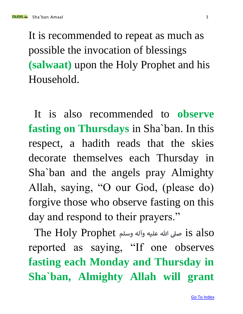<span id="page-3-0"></span>It is recommended to repeat as much as possible the invocation of blessings **(salwaat)** upon the Holy Prophet and his Household.

It is also recommended to **observe fasting on Thursdays** in Sha`ban. In this respect, a hadith reads that the skies decorate themselves each Thursday in Sha`ban and the angels pray Almighty Allah, saying, "O our God, (please do) forgive those who observe fasting on this day and respond to their prayers."

 also is **صىل هللا عليه وآله وسلم** Prophet Holy The reported as saying, "If one observes **fasting each Monday and Thursday in Sha`ban, Almighty Allah will grant**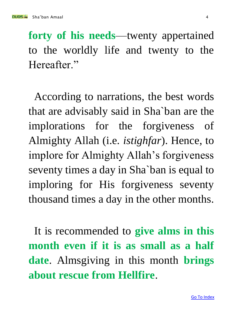**forty of his needs**—twenty appertained to the worldly life and twenty to the Hereafter."

According to narrations, the best words that are advisably said in Sha`ban are the implorations for the forgiveness of Almighty Allah (i.e. *istighfar*). Hence, to implore for Almighty Allah's forgiveness seventy times a day in Sha`ban is equal to imploring for His forgiveness seventy thousand times a day in the other months.

It is recommended to **give alms in this month even if it is as small as a half date**. Almsgiving in this month **brings about rescue from Hellfire**.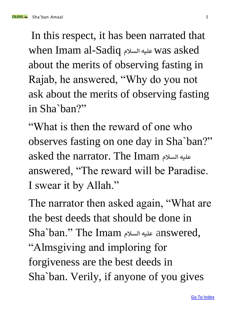nun Sang Sha'ban Amaal 5 ah ay sanad 5 ah ama sanad 5 ah am sanad 5 ah am sanad 5 ah am sanad 5 ah am sanad 5

In this respect, it has been narrated that when Imam al-Sadiq **السالم عليه** was asked about the merits of observing fasting in Rajab, he answered, "Why do you not ask about the merits of observing fasting in Sha`ban?"

"What is then the reward of one who observes fasting on one day in Sha`ban?" asked the narrator. The Imam **السالم عليه** answered, "The reward will be Paradise. I swear it by Allah."

The narrator then asked again, "What are the best deeds that should be done in Sha`ban." The Imam **السالم عليه** answered, "Almsgiving and imploring for forgiveness are the best deeds in Sha`ban. Verily, if anyone of you gives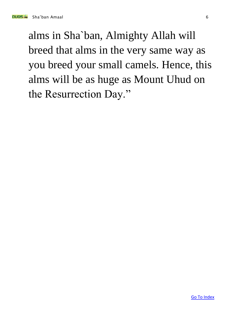alms in Sha`ban, Almighty Allah will breed that alms in the very same way as you breed your small camels. Hence, this alms will be as huge as Mount Uhud on the Resurrection Day."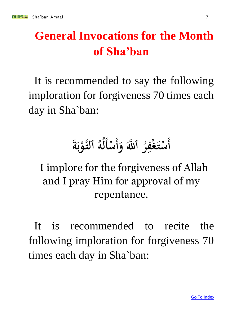# <span id="page-7-0"></span>**General Invocations for the Month of Sha'ban**

It is recommended to say the following imploration for forgiveness 70 times each day in Sha`ban:

### $\int$ **أ ٱللَّٰہَ** وَأ **ُ** سْتَغْفِرُ ٱللَّهَ وَأَسْأَلَٰهُ ٱلتَّوْبَةُ **2 22 ْ**  $\int$ **ْ ب**<br>. **ب ْ ُ ه ُ ل**

I implore for the forgiveness of Allah and I pray Him for approval of my repentance.

It is recommended to recite the following imploration for forgiveness 70 times each day in Sha`ban: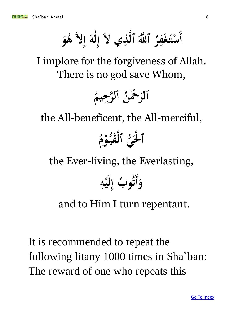$\int$ **أ ه ٱل َّلل ٱ ه ُ** سْتَغْفِرُ ٱللَّّهَ ٱلَّذِي لاَّ إِلَهَ إِلاَّ هُوَ **ِ ْ** .<br>با  **ُ ه له ه ِ إ ٰ ل ِ إ**

I implore for the forgiveness of Allah. There is no god save Whom,

**ُ يم ِ رح ه ٱل ُ ن ٰ ْح ْ ٱلر**

the All-beneficent, the All-merciful,

### م<br>أ **م ُّ و قي ي ٱل ْ ْ ُّ ْل ْ ٱ**

the Ever-living, the Everlasting,

  $\int$ **وأ ه ي ب إ ِ**  $\frac{1}{2}$  **ل ِ ُ و ُ ت**

### and to Him I turn repentant.

It is recommended to repeat the following litany 1000 times in Sha`ban: The reward of one who repeats this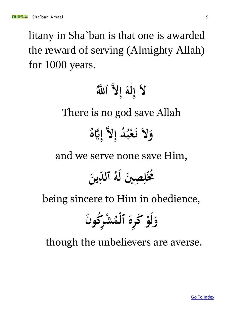litany in Sha`ban is that one is awarded the reward of serving (Almighty Allah) for 1000 years.

**َّللُ ل له ٱ ه ِ إ ه ٰ ل ِ إ** There is no god save Allah **ُ هَّيه ِ إ له ِ د إ ُ ُ ب ْ ع ن ل و**

and we serve none save Him,

**ني ص ِ ِ ْل ُم ُ ين ِ د ٱل ُ ه ل**

being sincere to Him in obedience,

**ن ُكو ر ِ ش ْ ُ م ْ ٱل ره ِ ك ْ و ل و**

though the unbelievers are averse.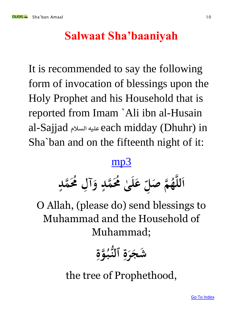## **Salwaat Sha'baaniyah**

<span id="page-10-0"></span>It is recommended to say the following form of invocation of blessings upon the Holy Prophet and his Household that is reported from Imam `Ali ibn al-Husain al-Sajjad **السالم عليه** each midday (Dhuhr) in Sha`ban and on the fifteenth night of it:

### [mp3](http://mp3.duas.org/Shaban_amal/shabansalwat.mp3)

**ى ل ع ٰ ِ**  اللَّهُمَّ صَلِّ عَلَىٰ مُحَمَّدٍ وَآلِ مُحَمَّدٍ  **ا ٍ ِ ٍ**

O Allah, (please do) send blessings to Muhammad and the Household of Muhammad;

**ِ وة ه ُ ُّ ب ٱلن ِ ة ر شج** 

the tree of Prophethood,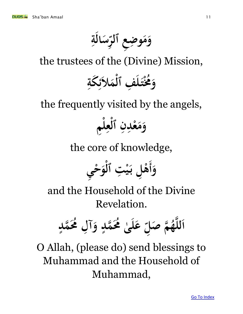**ِ** سَالَةِ  وَمَوضِعِ ٱلرِّّ **ِ ِ** 

the trustees of the (Divine) Mission,

### **بنی** وَمُخْتَلفِ ٱلْمَلاَئِكَةِ  **ِ ِ** ء<br>ر **ْ ِ 22**

the frequently visited by the angels,

**ِم ل ع ٱل ن ْد ع م و ْ ِ ْ ِ ِ** 

the core of knowledge,

 **ي ِ وأ ْ ح و ْ ت ٱل ِ ْ ي ل ب ِ ْ ه**

and the Household of the Divine Revelation.

**ٍ مد ُم ه ل ُ ِ آ و ٍ مد ُم ه ُ ى ٰ ل ع ِ صل م ُ ه ه ه لل ا**

O Allah, (please do) send blessings to Muhammad and the Household of Muhammad,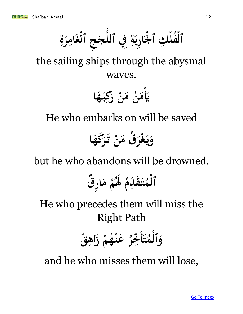**ِ ة ر ام غ ج ٱل ج ُّ ِِف ٱلل ة ري ا ْل ك ٱ ل ف ُ ٱل ِ ف ْ ∕**<br>∙  **ِ يا**<br>• **ِ ْ ِ ْ ْ**

the sailing ships through the abysmal waves.

> **ْ يَأْمَنُ مَنْ رَكِبَـهَا ِ ُ ن م**

He who embarks on will be saved

**ا كه ر ت ن ُق م ر غ ي و ق ْ ياء**<br>ما 

but he who abandons will be drowned.

م<br>أ **م د ق ت**  بر<br>پا  **∕ ق م ر ٱل ا م م ْ ِ ْ ُ َل** 

He who precedes them will miss the Right Path

> **22 ت ∕** وَٱلْمُتَأَخِّرُ عَنْـهُمْ زَاهِقٌ **ْ ِ ْ ُ ه ن ع ْ ُ ر خ <u></sub><br>◆◆**</u>

and he who misses them will lose,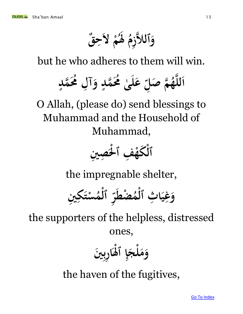**ق ح ْ ل م ِ ُ َل**  م<br>أ **زم ٱلاله و ِ** 

but he who adheres to them will win.

**عَلىٰ مُحَمَّدٍ وَآ ٍ ٰ ِ**  اللَّهُمَّ صَلِّ عَلَىٰ مُحَمَّدٍ وَآلِ مُحَمَّدٍ  **ا ٍ ِ**

O Allah, (please do) send blessings to Muhammad and the Household of Muhammad,



the impregnable shelter,

**ني ك ت س ِ ِ ْ ∕ م ٱل ْ** ،<br>بر  **ر ضط ْ ∕ م ث ٱل ا ي غ و ْ ِ 2 ِ** 

the supporters of the helpless, distressed ones,

> **ني رب ا َل إ لج م و ب ِ ْ ٱ ِ ْ**

the haven of the fugitives,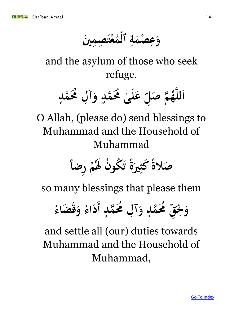**ني صم ت ع ِ ِ ْ ∕ م ٱل ة صم ع و ْ ِ ْ ِ** 

and the asylum of those who seek refuge.

**ٍ مد ُم ه ل ُ ِ آ و ٍ مد ُم ه ُ ى ٰ ل ع ِ صل م ُ ه ه ه لل ا**

O Allah, (please do) send blessings to Muhammad and the Household of Muhammad

**ً رضا ِ ْ م ُ َل ن ُ ُكو ت ً ة ِري ً كث صالة** 

so many blessings that please them

**ٍ مد ُم ه ل ُ ِ آ و ٍ مد ُم ه ُ ِ ق ِ ْل و أ ً ضاء ق و ً اء د**

and settle all (our) duties towards Muhammad and the Household of Muhammad,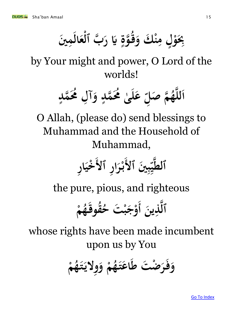بِحَوْلٍ مِنْكَ وَقَوَّةٍ يَا رَبُّ ٱلْعَالَمِينَ  **ِ ْ ٍ ِ ٍ ْ ِ**

by Your might and power, O Lord of the worlds!

**ُ ه ه لل ا ٍ مد ُم ه ل ُ ِ آ و ٍ مد ُم ه ُ ى ٰ ل ع ِ صل م ه**

O Allah, (please do) send blessings to Muhammad and the Household of Muhammad,

 **ني ٱل ِ ب ِ ي ٱل ه ر ٱلط ِ ا ر ْ ر ب ِ ا خي ْ**

the pure, pious, and righteous

 **ين ِ ذ ه ٱل أ ْ م ُ ه قوق ُ ُ ت ح ْ ب ج ْ و**

whose rights have been made incumbent upon us by You

**ْ م ُ ه ت ولي و م ياء**<br>ماء **ِ ْ ُ** وَفَرَضْتَ طَاعَتَهُ  **ْ**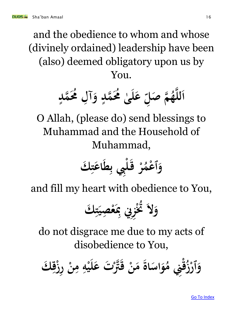and the obedience to whom and whose (divinely ordained) leadership have been (also) deemed obligatory upon us by You.

**ٍ مد ُم ه ل ُ ِ آ و ٍ مد ُم ه ُ ى ٰ ل ع ِ صل م ُ ه ه ه لل ا**

O Allah, (please do) send blessings to Muhammad and the Household of Muhammad,

 **ك ِ ت اع ط ِ ِِب ب ل ْ ق ْ ر ُ عم ْ ٱ و**

and fill my heart with obedience to You,

 **ك ِ ت صي ِ ْ ع ِ ِِن ِب ز ِ ُتْ ل ُ و**

do not disgrace me due to my acts of disobedience to You,

**ْ ن م اة اس و ُ ِِن م ْ ق ُ ز ْ ٱر ت و ْ َّت ه ك ق ِ ْق رز ِ ْ ن ِ م ِ ه ْ ي ل ع**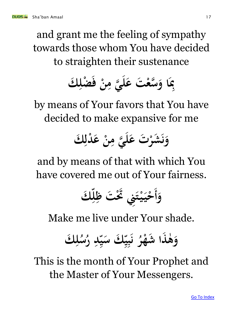and grant me the feeling of sympathy towards those whom You have decided to straighten their sustenance



by means of Your favors that You have decided to make expansive for me

### **ت ْ شر ي و ن ه**  عَليَّ مِنْ عَدْلِكَ  **ِ ِ**

and by means of that with which You have covered me out of Your fairness.

 **ك وأ ِ ل ِ ت ظ َتْ ِِن ت ْ ي ي ْ ح**

Make me live under Your shade.

 **ك ل ِ ُ** ر<br>**سہ**<br>-ا (<br>ما **ر د ِ سا**<br>بم **23** ي**ْكَ سَي**ِّ  **سا ي ب ∤** ن<br>.<br>. **ن ُ ر شه ذا ه و ْ ٰ** 

This is the month of Your Prophet and the Master of Your Messengers.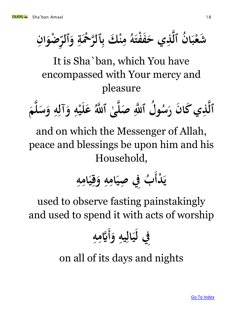**ِ ان ضو ْ** ں<br>پر  مِنْكَ بِٱلرَّحْمَةِ وَٱلرِّ  **ِ ْ** .<br>ب **ِ ُ ه فت ف ِي ح ذ ه ن ٱل ُ ا ب شع ْ ْ** 

It is Sha`ban, which You have encompassed with Your mercy and pleasure

 **م ه ل س و ه آل و ه ي ل ع َّللُ ى ٱ ه ه صل َّلل ل ٱ ه ُ و ِ ِ ِ**  $\frac{1}{2}$  **ٰ**  ِ<br>|<br>|} **ُ س ن ر كا ِي ذ ه ٱل** 

and on which the Messenger of Allah, peace and blessings be upon him and his Household,

**د ْ ي أ ِ ه ِ ام ي ِ ق و ِ ه ِ ام صي ِِف ِ ب ُ**

used to observe fasting painstakingly and used to spend it with acts of worship

 **و ِ يه ِ ال ي ِِف ل أ ِ ه ِ هَّيم**

on all of its days and nights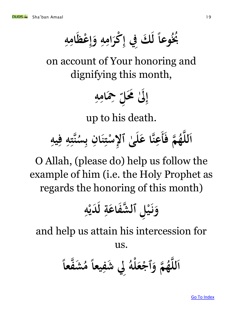**ً ِمُخُوعاً لَكَ فِي إِكْرَامِهِ وَإِعْظَامِهِ ِ ِ ِ ل ِ ِ ْ ِ إ** 

on account of Your honoring and dignifying this month,

$$
\prod_{i=1}^n \frac{1}{2} \sum_{j=1}^n \frac{1}{j} \sum_{j=1}^n \frac{1}{j} \sum_{j=1}^n \frac{1}{j} \sum_{j=1}^n \frac{1}{j} \sum_{j=1}^n \frac{1}{j} \sum_{j=1}^n \frac{1}{j} \sum_{j=1}^n \frac{1}{j} \sum_{j=1}^n \frac{1}{j} \sum_{j=1}^n \frac{1}{j} \sum_{j=1}^n \frac{1}{j} \sum_{j=1}^n \frac{1}{j} \sum_{j=1}^n \frac{1}{j} \sum_{j=1}^n \frac{1}{j} \sum_{j=1}^n \frac{1}{j} \sum_{j=1}^n \frac{1}{j} \sum_{j=1}^n \frac{1}{j} \sum_{j=1}^n \frac{1}{j} \sum_{j=1}^n \frac{1}{j} \sum_{j=1}^n \frac{1}{j} \sum_{j=1}^n \frac{1}{j} \sum_{j=1}^n \frac{1}{j} \sum_{j=1}^n \frac{1}{j} \sum_{j=1}^n \frac{1}{j} \sum_{j=1}^n \frac{1}{j} \sum_{j=1}^n \frac{1}{j} \sum_{j=1}^n \frac{1}{j} \sum_{j=1}^n \frac{1}{j} \sum_{j=1}^n \frac{1}{j} \sum_{j=1}^n \frac{1}{j} \sum_{j=1}^n \frac{1}{j} \sum_{j=1}^n \frac{1}{j} \sum_{j=1}^n \frac{1}{j} \sum_{j=1}^n \frac{1}{j} \sum_{j=1}^n \frac{1}{j} \sum_{j=1}^n \frac{1}{j} \sum_{j=1}^n \frac{1}{j} \sum_{j=1}^n \frac{1}{j} \sum_{j=1}^n \frac{1}{j} \sum_{j=1}^n \frac{1}{j} \sum_{j=1}^n \frac{1}{j} \sum_{j=1}^n \frac{1}{j} \sum_{j=1}^n \frac{1}{j} \sum_{j=1}^n \frac{1}{j} \sum_{j=1}^n \frac{1}{j} \sum_{j=1}^n \frac{1}{j} \sum_{j=1}^n \frac{1}{j} \sum_{j=1}^
$$

up to his death.

 **م ف ُ ه ه ه لل ا أ يه ف ه ت ه ن ِ ِ ِ } ُ** عِنَّا عَلَىٰ ٱلإِسْتِنَانِ بِسُّ **ب ب**<br>۶ **ِ ; ْ । ٰ ِ**

O Allah, (please do) help us follow the example of him (i.e. the Holy Prophet as regards the honoring of this month)

**ِ ه ْ دي ل ِ ة فاع ش ل ٱل ه ِ ْ ي ن و**

and help us attain his intercession for

us.

**ً فعا ه ش ُ م ً يعا ِ شف ِِل ُ له ْ ع ْ ٱج م و ُ ه ه ه لل ا**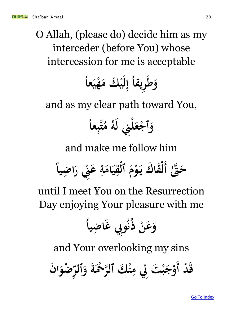O Allah, (please do) decide him as my interceder (before You) whose intercession for me is acceptable

**ً عا ي ه ْ ك م ي ريقا ط و 2 ْ ل ِ إ ً ِ** 

and as my clear path toward You,

**ً عا ِ ب ه تُ م ُ ه ِِن ل ل ْ ع ْ ٱج و**

and make me follow him

**َّتٰ ه ً ضيا ِ ا ح أ ر ِن ِ ع ِ ة ام ي ِ ق ْ ٱل م ْ و ك ي قا ْ ل**

until I meet You on the Resurrection Day enjoying Your pleasure with me

**ُ ن ُ ذ ْ ن ع ض و ِ ً ا يا ِِب غ و**

and Your overlooking my sins

**ن ا د أ ْ ق ضو ْ ِ ٱلر و ة ْح ْ ر ه ْ ك ٱل ن ِ ِِل م ت ْ ب ج ْ و**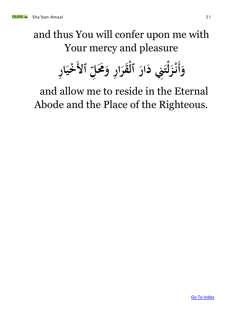# and thus You will confer upon me with Your mercy and pleasure

 **•** وَأَنْزَلْتَنِي دَارَ ٱلْقَرَارِ وَ**حَ**َلِّ ٱلأَ **ِ**  $\int$  **ُم ل ر و قر ٱل ار ِِن د ت ز ر ن ا خي ِ ا ْ 22 ْ ل** .<br>.<br>. **ائی**<br>با **ِ 22 ْ**

and allow me to reside in the Eternal Abode and the Place of the Righteous.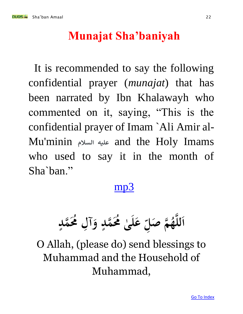<span id="page-22-0"></span>

### **Munajat Sha'baniyah**

It is recommended to say the following confidential prayer (*munajat*) that has been narrated by Ibn Khalawayh who commented on it, saying, "This is the confidential prayer of Imam `Ali Amir al-Mu'minin **السالم عليه** and the Holy Imams who used to say it in the month of Sha`ban."

### [mp3](http://www.duas.org/mp3/shabania%20munajaat.mp3)

**ٍ** عَلىٰ مُحَمَّدٍ وَآلِ مُحَمَّدٍ **ِ ٍ ٰ ِ صل م ُ ه ه ه لل ا**

O Allah, (please do) send blessings to Muhammad and the Household of Muhammad,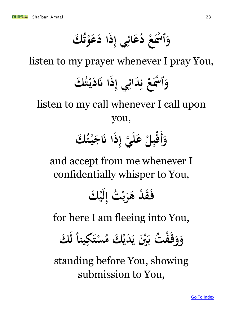**ُ ك و ع ا د ذ ِي إ ائ ع** ر<br>.<br>. **ْ ِ ُ** وَٱسْمَعْ دُ **ْ ْ ٱ** 

listen to my prayer whenever I pray You,

### **ُ ك ت ي د ا َن ذ ِي إ دائ ع ْس و ْ ِ ِ**<br>با **ن ْ ْ ٱ**

listen to my call whenever I call upon you,

### $\int$ وَأَقْبِلْ عَلَيَّ إِذَا نَاجَيْتُكَ *<u>t</u>*  **ِ ه ل ع ِل ب ق ْ ْ**

and accept from me whenever I confidentially whisper to You,

**ْ ك ي ل ِ ت إ ُ ْ ب ر د ه ْ ق ف**

for here I am fleeing into You,

 وَوَقَفَتْ بَيْنَ يَدَيْكَ مُسْتَكِيناً لكَ  **ِ ْ ُ ْ ك م دي ني ي يبن**<br>. **ت ب ُ ف ْ ق و** 

standing before You, showing submission to You,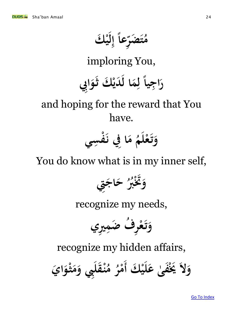عاً إِلَيْكَ<br>ت  **ل ِ إ ً** ں<br>اب  **ضر ت ُ م**

imploring You,

### **ِِب و ْ ك ث دي ا ل م ً ل جيا ر ا**  <u>ئی</u><br>ن  **ِ ِ ا**

## and hoping for the reward that You have.



You do know what is in my inner self,



recognize my needs,



recognize my hidden affairs,

وَلاَ يَخْفَىٰ عَلَيْكَ أَمْرُ مُنْقَلِّبِي وَمَثْوَايَ  **ٰ**  $\int$  **ْ ُ م ُ ر مْ**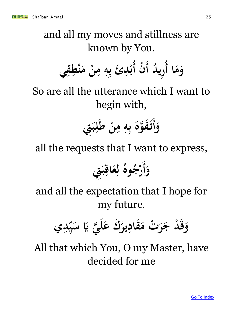and all my moves and stillness are known by You.

**ا م ُ ن أ ْ د أُ ري ُ و أ ن م ه ئ ب ْد ب ي ق ْط ن م ِ ِ ِ ب ِ B ِ** 

So are all the utterance which I want to begin with,

> **ِت وأ ب ل ْ ط ن م ه وه فه ت**   $\int$ **ِ ِ ِ ب ب**<br>۶

all the requests that I want to express,

 **ِت وأ ب ِ اق ع ِ ل ُ وه ُ ج ْ ر**

and all the expectation that I hope for my future.

**ِ ي س ي َّي ه ل ك ع ُ ير ِ قاد ت م ْ ر د ج ْ ق و ي ِ د**

All that which You, O my Master, have decided for me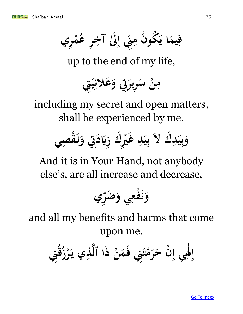**ري م ِ ْ ُ** ق إِلَىٰ آخِرِ عُ **ِ ِ ِ إ .**<br> **1 ِ** فِيمَا يَكُونَ مِ **يا**<br>•  **ِ**

up to the end of my life,

مِنْ سَرِيرَتِي وَعَلانِيَتِي **2** ِ<br>!<br>.  **ِ ِ**

including my secret and open matters, shall be experienced by me.



And it is in Your Hand, not anybody else's, are all increase and decrease,



and all my benefits and harms that come upon me.

 **م ِِن ف ت ْ م ر ن ح ْ ِ ي إ ِ ٰ َل ِِن ِ ُ إ ق ُ ز ْ ر ِي ي ذ ه ا ٱل ذ ْ ن**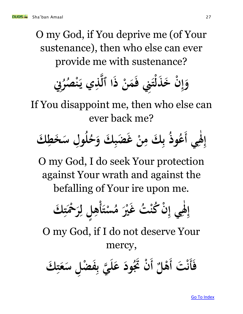O my God, if You deprive me (of Your sustenance), then who else can ever provide me with sustenance?



If You disappoint me, then who else can ever back me?



O my God, I do seek Your protection against Your wrath and against the befalling of Your ire upon me.

 **ت ْ س ُ م ري ْ ت غ ُ ْ ُكن ن ْ ِ ي إ ِ ٰ َل ِ ْ ك إ أ ِ ت ْح ْ ر ِ ل ل ٍ ِ ه**

O my God, if I do not deserve Your mercy,

 **أ ت ف ْ ن أ**  $\int$  **ْل ه أ ود َتُ ن ي ب**  $\int$  **ْ** <u>با</u> **ه**  عَليَّ بِفَضْلِ سَعَتِكَ  **} ِ ْ**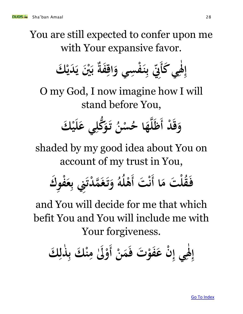You are still expected to confer upon me with Your expansive favor.

 **ك ي ِ ٰ َل ِ ْ ك إ أ دي ني ي ْ ب فة ِ اق سي و ِ ف ْ ن ِ ب ِن ِ** 

O my God, I now imagine how I will stand before You,

**د ْ ق ْ ك و أ ي ل ي ع ِ ُّكل و ت ُ ن ْ س ُ ا ح ه ه ل ظ**

shaded by my good idea about You on account of my trust in You,

**ل ا ْ ق ُ ف ت م ت أ ك ْ و ِ ف ْ ن أ ع ِ ِِن ب دت ْ م ه غ ت و ُ ه ُ ل ْ ه**

and You will decide for me that which befit You and You will include me with Your forgiveness.

**ْ ن م ت ف ْ فو ن ع ي إ َل إ أ ذل ْ ك ب ن َٰل م ك و ْ ِ ∫ ٰ ِ**  $\int$ **ِ ٰ ب ِ ْ**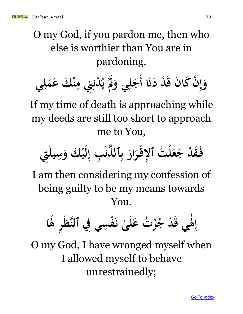O my God, if you pardon me, then who else is worthier than You are in pardoning.

 وَإِنَّ كَانَ قَدْ دَنَا أَجَلِي وَلَمْ يُدْنِنِي مِنْكَ عَمَلِي  **ْ ِ إ**   $\int$ **ِ ِ ب**<br>با **ي ْ ِ** 

If my time of death is approaching while my deeds are still too short to approach me to You,

**ت ُ ل ْ ع د ج ْ ق ف ار ْ ر إلق ِت ِ ٱ يل ِ س ْ ك و ي ل ِ ب إ ِ ْ ذن ٱل ه ِ ب**

I am then considering my confession of being guilty to be my means towards You.

**ا َل ر ِ هظ سي ِِف ٱلن ِ ف ْ ى ن ٰ ل ت ع ُ ْ ر ُ د ج ْ ي ق ِ ٰ َل ِ إ**

O my God, I have wronged myself when I allowed myself to behave unrestrainedly;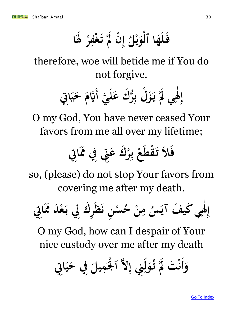**ا َل ر ْف غ ت َل ن يا**<br>با  $\frac{1}{2}$ **ْ ِ ْ ْ ِ إ ُ ْل و ا ٱل ه ل ف ي ْ** 

therefore, woe will betide me if You do not forgive.

**ي ه ل ك ع ر ُّ ِ ل ب ْ ز ي ْ َل ي ِ ٰ َل ِ ِِت إ أ ا ي ح هَّيم**

O my God, You have never ceased Your favors from me all over my lifetime;

**ِن ِ ك ع ر ه ِ ب ْ ع قط ْ ِِت ت ا ال ف َم ِِف** 

so, (please) do not stop Your favors from covering me after my death.

**ِِت ا َم د ْ ع ِِل ب ك ر ِ ظ ن ن ِ ْ س ُ ح ْ ن ِ م ُ س ف آي كي ي ِ ٰ َل ِ إ**

O my God, how can I despair of Your nice custody over me after my death

 **وأ ْل ْ له ٱ ِ ِِن إ ِ ل و ُ ت ْ َل ت ْ ِِت ن ا ي ِِف ح يل ِ م**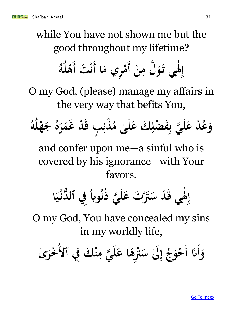while You have not shown me but the good throughout my lifetime?

**ْ ن ِ ل م ه و ي ت ِ ٰ َل ِ ا إ أ ري م ِ ْ ت م أ ْ ن أُ ه ُ ل ْ ه**

O my God, (please) manage my affairs in the very way that befits You,

 **ر م د غ ْ ب ق ٍ ِ ذن ْ ُ ى م ٰ ل ك ع ِ ضل ْ ف ِ ي ب ه ل د ع ْ ُ ع و ُ ه ُ ل ْ ه ج ُ ه**

and confer upon me—a sinful who is covered by his ignorance—with Your favors.

**ا ي ْ دن ِِف ٱل ُّ ً واب ُ ن ُ ي ذ ه ل ت ع َّْت د س ْ ي ق ِ ٰ َل ِ إ**

O my God, You have concealed my sins in my worldly life,

 **وأ ُ ِِف ٱل ك ن ْ َن أ ِ ي م ه ل ا ع ه ِ َّت ْ َٰل س ِ إ ُ ج و ْ ٰى ح خر ْ**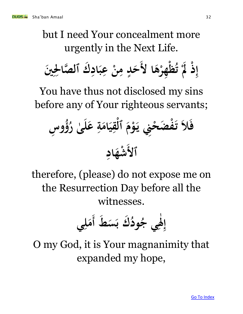but I need Your concealment more urgently in the Next Life.



You have thus not disclosed my sins before any of Your righteous servants;

**س ِ ؤو ُُ ى ر ٰ ل ع ِ ة ام ي ِ ق ْ ٱل م ْ و ِِن ي ح ض ْ ف ْ ت ال ف ٱل ِ اد شه ْ**

therefore, (please) do not expose me on the Resurrection Day before all the witnesses.

**ط س ك ب ُ ود ُ ي ج ِ ٰ َل ي ِ إ أ ِ ل م**

O my God, it is Your magnanimity that expanded my hope,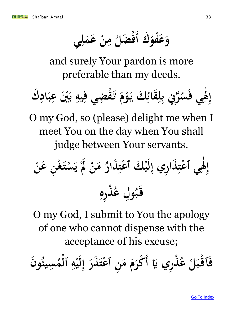**ك ُ فو ع ي و أ ل م ْ ع ن م ْ**   $\int$ **ِ ِ ُ ضل ف ْ**

and surely Your pardon is more preferable than my deeds.



O my God, so (please) delight me when I meet You on the day when You shall judge between Your servants.

 **ن ع ِ ْ غ ت ْ س ي ْ َل ْ ن م ُ ذار ِ عت ْ ْ ك ٱ ي ل ِ ري إ ِ ذا ِ عت ْ ي ٱ ِ ٰ َل ِ إ ْ ن ِ ره ِ ذ ْ ُ ل ع وِ ُ ب ق**

O my God, I submit to You the apology of one who cannot dispense with the acceptance of his excuse;

 **ري َّي ذ ِ <sup></sup> ُ** فَأَقْبَلْ عُذْرِي يَا أَكْرَمَ مَنِ ٱعْتَذَرَ إِلَيْهِ ٱلْمُسِيئُونَ **ْ**   $\int$ ء<br>ما **سيئ ِ ∕ م ٱل ه ي ذر عت ن ٱ م م ْكرْ ِ**  $\frac{1}{2}$  **ل ِ إ**  .<br>.<br>. **22 ْ ∫**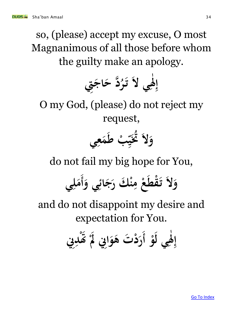so, (please) accept my excuse, O most Magnanimous of all those before whom the guilty make an apology.



O my God, (please) do not reject my request,



do not fail my big hope for You,

 **ِي و ائ ج ْ ك ر ن م ع قط ْ ت ل ي و أ ل م ِ ْ**   $\int$ **ِ** 

and do not disappoint my desire and expectation for You.

> **ْ و ي ل َل ت إ أ ْ د ِِن ر د َتْ َل ِِن و ه ِ ٰ ِ**  $\int$  **ِ ْ ا**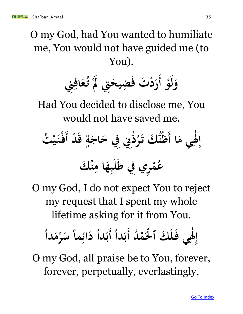O my God, had You wanted to humiliate me, You would not have guided me (to You).



Had You decided to disclose me, You would not have saved me.

إِهْيِ مَا أَظُنُّكَ تَزُدُّنِي فِي حَاجَةٍ قَدْ  **ِ ٰ ِ**  $\int$ **ٍ ُ ر ك ت ت أ ُ ْ ي ْ ن ف**   $\int$  **ْ ك ن ا م ه ب ل ِِف ط ري م ِ ِ ِ ْ ُ ع**

O my God, I do not expect You to reject my request that I spent my whole lifetime asking for it from You.

**د ُ ْ م ْل ْ ك ٱ ل ي ف ِ ٰ َل ِ إ أ ً دا ب أ ً دا م ْ ر س ً ما ِ ائ د ً دا ب**

O my God, all praise be to You, forever, forever, perpetually, everlastingly,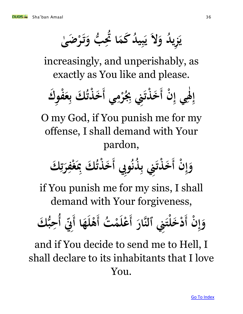زيلُہ وَلاَ يَبِيلُہُ كَمَا تَحِبُّ وَتَرْضَىٰ **ئ**<br>.  ∫<br>≶  **∤ ب**<br>• ر<br>بيا **ِ ياء**<br>ما ر<br>بيا

increasingly, and unperishably, as exactly as You like and please.



O my God, if You punish me for my offense, I shall demand with Your pardon,

**ن ْ ِ إ ِِب و ُ ذن ُ و أِ ِِن ب ذت ْ خ ك أ ِ ت ر ِ ْف غ ِ ُ ك ِب ذت ْ خ** 

if You punish me for my sins, I shall demand with Your forgiveness,

**ن ْ ِ إ و أ هار ِِن ٱلن لت ْ خ ْ ت د أ ُ ْ م عل ْ ا أ ه ل ْ ِ ِن ه أ ُ ك أ ُّ ب ِ ح**

and if You decide to send me to Hell, I shall declare to its inhabitants that I love You.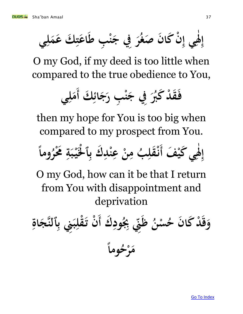لْهِي إِنْ كَانَ صَغُرَ فِي جَنْبِ طَاعَتِكَ عَمَلِي **ِ } ِ ْ ْ ِ ِ ٰ ِ إ**

O my God, if my deed is too little when compared to the true obedience to You,



then my hope for You is too big when compared to my prospect from You.

**ْ ف كي ي ِ ٰ َل ِ إ أ ً وما ُ ر ْ ُم ِ ة ب ْ ي ْل ْ ٱ ِ ك ب ِ د ْ ن ِ ْ ع ن ِ ب م ُ ِ قل ْ ن** 

O my God, how can it be that I return from You with disappointment and deprivation

**ك ِ ود ُ ِ ِب ِن ِ ظ ُ ن ْ س ُ ن ح كا د ْ ق و أ ِ اة ج ه ٱلن ِ ِِن ب ب ِ قل ْ ن ت ْ ً وما ُ ح ْ ر م**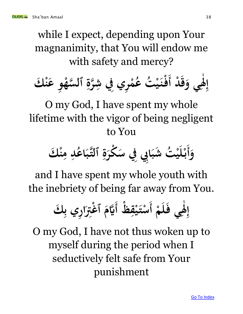while I expect, depending upon Your magnanimity, that You will endow me with safety and mercy?



O my God, I have spent my whole lifetime with the vigor of being negligent to You

 **ْ ك وأ ن ِ م ِ د ُ اع ه ب ٱلت ِ ة ْكر ِِب ِِف س ا شب ت ُ ْ ي ل ْ ب** 

and I have spent my whole youth with the inebriety of being far away from You.

**ْ م ل ي ف ِ ٰ َل ِ ظ ْ إ أ ِ ق ْ ي ت ك ْ ِ ري ب ِ ا س أ َِّت غ ٱ ْ هَّيم**

O my God, I have not thus woken up to myself during the period when I seductively felt safe from Your punishment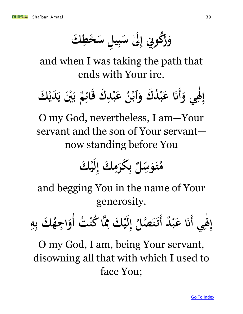**ك خط ل س ي ب َٰل س ِِن إ ُكو ِ ِ ∤ ِ ُ ر و** 

and when I was taking the path that ends with Your ire.

 **ي و ِ ٰ َل ِ ني إ أ ْ ب م ِ ائ ك ق ِ ْد ب ع ُ ن ْ ٱب ك و د ُ ْ ب ع ْ َن ك دي ي**

O my God, nevertheless, I am—Your servant and the son of Your servant now standing before You

**ْ ك ي ل ِ ك إ ِ م كر ِ ب ل ِ س و ت ُ م**

and begging You in the name of Your generosity.

**ي ِ ٰ َل ِ د إ أ ْ ب ع ت َن أ ُ ْ ُكن ا ه ِ ْ ك َم ي ل ِ إ ُ صل ه ن ُ ت أ ِ ه ِ ُ ك ب جه ِ ا و**

O my God, I am, being Your servant, disowning all that with which I used to face You;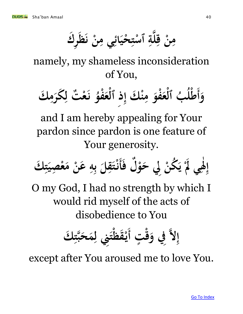**ك ر ظ ن ِي م ائ حي ت ٱس ة ه ل ق ن م ِ ن ِ 2 ْ } ْ ِ ِ ِ**

namely, my shameless inconsideration of You,

 **ك وأ ِ م كر ِ ت ل ْ ع ن ُ فو ْ ع ْ ٱل ِ ذ ِ ْ ك إ ن ِ م فو ْ ع ْ ب ٱل ُ ُ ل ْ ط**

and I am hereby appealing for Your pardon since pardon is one feature of Your generosity.

 **ل ف ْ و ِِل ح ْ ُكن ي ْ َل ي ِ ٰ َل ِ ك إ أ ِ ت صي ِ ْ ع م ْ ن ع ِ ه ِ ب ل ِ ق ت ْ ن** 

O my God, I had no strength by which I would rid myself of the acts of disobedience to You

**ت ٍ ْ ق ِِف و له ِِن ِ إ أ ت ْ قظ ْ ي ِ ل ك م ِ ت ه ب ح**

except after You aroused me to love You.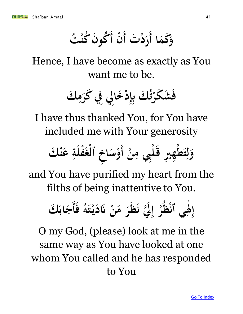وَكَمَا أَرَدْتَ أَنْ أَكُونَ كُنْتُ   $\int$   $\int$ 

Hence, I have become as exactly as You want me to be.

> فَشَكَرْتُكَ بِإِدْخَالِي فِي كَرَمِكَ **ِ ِ** ِ<br>پي ر<br>.<br>. **ْ .**<br>★

I have thus thanked You, for You have included me with Your generosity



and You have purified my heart from the filths of being inattentive to You.

 **ف ُ ه ت ْ ي د ْ َن ن م ر ظ ِله ن ِ إ ْ ر ُ ْظ ي ٱن ِ ٰ َل ِ ك إ أ اب ج**

O my God, (please) look at me in the same way as You have looked at one whom You called and he has responded to You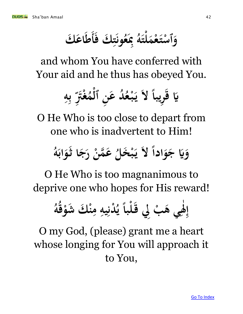**ونَتِكَ فَ }** .<br>.<br>. **ُ ع ِب <u></sub>**</u> **ُ** وَٱسْتَعْمَلَتَهُ بِمَعُونَتِكَ فَأَطَاعَكَ  **ْ ْ ْ** 

and whom You have conferred with Your aid and he thus has obeyed You.

> **ً ريبا ق َّي ل ه ِ** *<u>•*</u>  **ِ ب ب**<br>۶ ں<br>پ  **َّت ْ غ ∕ م ن ٱل د ع ُ ُ ع ب ي ْ ٍ ْ ياء**<br>ماء

O He Who is too close to depart from one who is inadvertent to Him!

 **و ج َّي ً ل و ادا .**<br>•<br>•  **ُ** عَمَّنْ رَجَا ثَوَابَهُ **ب**<br>.  <u>ئی</u><br>ن  **ُ خل ْ ب ي** 

O He Who is too magnanimous to deprive one who hopes for His reward!

**ُ ه ُ ق ْ شو ْ ك ن ِ م ِ يه ِ دن ُْ ي ً لبا ْ ِِل ق ب ْ ي ه ِ ٰ َل ِ إ**

O my God, (please) grant me a heart whose longing for You will approach it to You,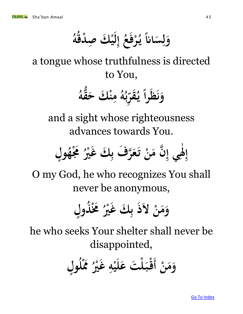**ً اَن س و إ ِ ل ِ ُ ع ف ر ْ یا۔ ي ُ ه ُ دق ص ْ ك ي ْ ِ ل**

a tongue whose truthfulness is directed to You,

> **ُ قه ُّ ْ ك ح ن م ِ ُ ه ُ ب ِ قر یا۔ ي را ظ و ً ن**

and a sight whose righteousness advances towards You.



O my God, he who recognizes You shall never be anonymous,

**ل ذوٍ ُ ْ ُم ُ ري ْ ك غ ِ ب ْ ل ذ ن م و**

he who seeks Your shelter shall never be disappointed,

**ْ ن م ل و أ وٍ ُ ْل َم ُ ري ْ غ ِ ه ْ ي ل ت ع ل ْ ْ ب ق**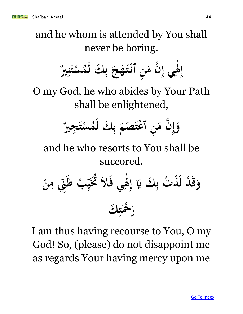and he whom is attended by You shall never be boring.

 **ِري ن ت ْ س ُ م ك ل ِ ب ج ه ت ْ ن ٱن ِ ن م ه ِ ي إ ِ ٰ َل ِ إ**

O my God, he who abides by Your Path shall be enlightened,

 **جري ِ ت ْ س ُ م ك ل ِ ب صم عت ْ ن ٱ ِ ن م ه ِ إ و**

and he who resorts to You shall be succored.

**ي ِ ٰ َل ِ إ ك َّي ِ ت ب ذ ُ ْ ُ د ل ْ ق و ْ ن ِ م ِن ِ ب ظ ْ ِ ي ُت ال ُ ف ك ِ ت ْح ْ ر**

I am thus having recourse to You, O my God! So, (please) do not disappoint me as regards Your having mercy upon me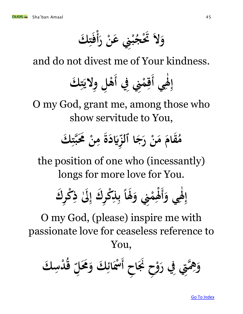**ر ن ِِن ع ب ْ ैं ج َتْ ل ك و أ ت ف ْ }** 

and do not divest me of Your kindness.

**ي َل ِِن ِِف إ أْ م ك ق أ ت ولي ل ه ِ ٰ ِ**  $\int$ **ِ**  $\int$ **} ي**<br>• **ِ ِ ْ**

O my God, grant me, among those who show servitude to You,



the position of one who (incessantly) longs for more love for You.

 **ي و َل ك ر ْك إ أ َٰل ذ ك إ ر ْك ذ َلا ِِن و م َل ∫ ٰ ِ ِ ِ ِ ِ** ،<br>با **ب ب**<br>۶ **ً ْ** .<br>ک **ْ**

O my God, (please) inspire me with passionate love for ceaseless reference to You,

**ِت ه ِ ِه ح ِ و ْ و ح ِِف ر ِ ا َن أ ك ِ دس ْ ُ ق ِ ُم ل ك و ِ ائ ْس ْ**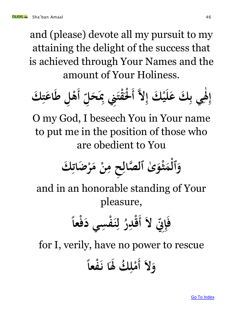and (please) devote all my pursuit to my attaining the delight of the success that is achieved through Your Names and the amount of Your Holiness.



O my God, I beseech You in Your name to put me in the position of those who are obedient to You

 **ك ِ ضات ْ ر م ْ ن ِ ح م ِ ِ صال ٰى ٱل ه و ْ ث م ْ ٱل و**

and in an honorable standing of Your pleasure,

**ِن ِ ِ إ ل أ ً ف عا ْ ف سي د ِ ف ْ ن ِ ل ُ ر ِ د ْ ق**

for I, verily, have no power to rescue

 **ل ً فعا ْ ا ن و أ َل ُك ِ ل ْ م**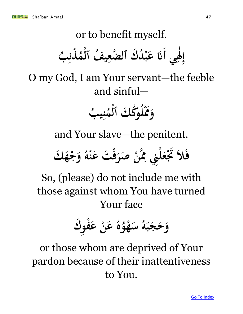### or to benefit myself. إهي أنَا عَبْدُكَ ٱلصَّعِيفُ ٱلْمُذْنِبُ **∫ ٰ ِ**  $\int$ **ُ ب**<br>با **ذن <sup></sup> ∕ م ُف ٱل ي ضع ك ٱل ه د ُ ْ ب ع َن ْ ِ**

O my God, I am Your servant—the feeble and sinful—

**ْ َم ب و ُ ي ِ ن ُ م ْ ُك ك ٱل و ُ ل**

and Your slave—the penitent.

**ت ْ ف صر ْ ن ه ِ ِِن َم ل ْ ع َتْ ال ك ف ه ْ ج و ُ ه ْ ن ع**

So, (please) do not include me with those against whom You have turned Your face

**ك و ِ ف ْ ْ ع ن ع ُ ه ُ و ْ ه س ُ ه ب ج ح و**

### or those whom are deprived of Your pardon because of their inattentiveness to You.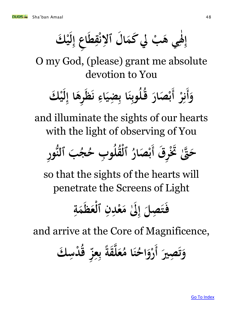**ل ِ** هَبْ لي كَمَال ٱلانْقِطاعِ إِ **∕**  *<u>*</u> <u>ئا</u> **ِ ي ه َل ْ ك إ ي ∫ ٰ ِ**

O my God, (please) grant me absolute devotion to You

### $\int$ وَأَنِرْ أَبْصَارَ قُلُوبِنَا بِضِيَاءِ نَظَرِهَا إِلَيْكَ **ب**<br>با  $\int$  **ل ِ ِ ن ِ 22**  .<br>ب  **في ب**

and illuminate the sights of our hearts with the light of observing of You

 **ق ر ِ ُتْ َّتٰ ه ر ِ و ُّ ٱلن ب ح أ ُ ج ُ ب ح و ِ ُ قل ُْ ٱل ُ صار ْ ب**

so that the sights of the hearts will penetrate the Screens of Light

**ِ ة م ظ ع ْ ٱل ِ ن ِ ْد ع َٰل م ِ إ صل ِ ت ف**

and arrive at the Core of Magnificence,

 **صري ِ ت و أ ع ُ ا م ن ُ اح و ْ ك ر ِ دس ْ ُ ق ِ ز ِ ع ِ ب ً قة ه ل**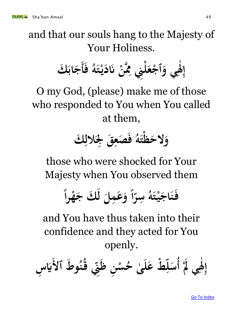and that our souls hang to the Majesty of Your Holiness.

 **ي و ِ ٰ َل ِِن ِ ل ْ إ ع ْ ٱج ف ُ ه ت ْ ي د ْ َن ن ه ِ ك َم أ اب ج**

O my God, (please) make me of those who responded to You when You called at them,

فَصَعِقَ لِجَلالِكَ **ِ ِ ُ ه ت ظ لح و ْ**

those who were shocked for Your Majesty when You observed them

> **ك ِل م ع و ل ً ا سرّ**أ **ِ ُ ه ت ي اج ن ً ف را ه ج 22 ْ ْ**

and You have thus taken into their confidence and they acted for You openly.

**ْ َل ي ِ ٰ َل ِ ط ٱل و ُ إ أ ُ ُ ن ق ِن ِ ن ظ ِ ْ س ُ ى ح ٰ ل ط ع ْ ِ ل س ِ س َّي**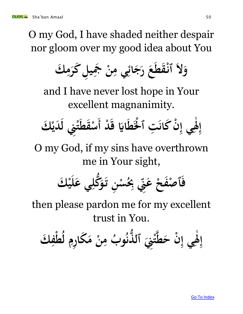O my God, I have shaded neither despair nor gloom over my good idea about You

 **ك ِ م كر ل ِ ي ِ َج ْ ن ِ ِي م ائ ج ر ع قط ْ ل ٱن و**

and I have never lost hope in Your excellent magnanimity.

**د ْ ق اَّي ْل ط ْ ت ٱ ِ كان ن ْ ِ ي إ ِ ٰ َل ِ ْ ك إ أ دي ِِن ل ْ ت قط ْ س**

O my God, if my sins have overthrown me in Your sight,

**ِ ُّكل و ن ت ِ ْ س ُ ِ ِب ِن ِ ْ ع فح ص ْ ٱ ْ ك ف ي ل ي ع**

then please pardon me for my excellent trust in You.

 **ك ف ط ُ رم كا م ن ب م ِ ْ ل ِ ِ ِ ُ و ُ ذن ٱل ُّ ِِن ت ه ط ن ح ي إ َل ْ ْ ِ ِ ٰ ِ إ**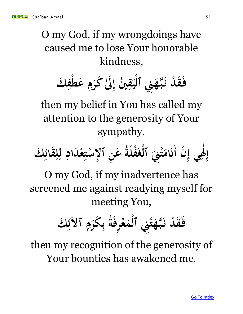O my God, if my wrongdoings have caused me to lose Your honorable kindness,

 **ك ف ط ع م َٰل كر ني إ ِ ْ ِ ِ ُ 2021** فَقَدْ نَبَّهَنِي ٱلْيَقِ **2 ْ**  .<br>.<br>. **ْ** 

then my belief in You has called my attention to the generosity of Your sympathy.

إِلَهِي إِنَّ أَنَامَتْنِيَ ٱلْغَفَّلَةُ عَنِ ٱلْإِسْتِعْدَادِ لِلِقَائِكَ **ْ ِ ِ ٰ ِ**  $\int$ ر<br>با  **ِ ِ ل ِ } ْ । ∫ ْ ْ** 

O my God, if my inadvertence has screened me against readying myself for meeting You,

**ِِن ْ ت ه ه ب د ن ْ ق ك ف ِ ئ آل ِ م كر ِ ب ُ ة رف ِ ْ ع م ْ ٱل**

then my recognition of the generosity of Your bounties has awakened me.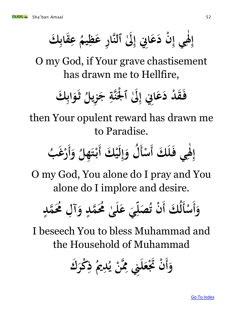**ك قاب ع ب ِ ُ يم ظ ر ع ها َٰل ٱلن ِِن إ ا ع ن د ي إ َل ِ ِ ِ ْ ِ ِ ٰ ِ إ**

O my God, if Your grave chastisement has drawn me to Hellfire,

> **ِ هة ن ْل َٰل ٱ ِِن إ ا ع د د ق ك ف اب و ث ْ ِ ْ ب**  ن<br>ن **ُ زيل ج ِ**

then Your opulent reward has drawn me to Paradise.

 **ك ل ي ف ِ ٰ َل ِ إ أ ك ْ سأ ْ ي ل ِ إ ل و أ ُ و ُ هل ِ ت ْ ب ب أُ ْغ ر**

O my God, You alone do I pray and You alone do I implore and desire.

 **وأ ْ ك أ ُ ل سأ ٍ مد ُم ه ل ُ ِ آ و ٍ مد ُم ه ُ ى ٰ ل ع ي ِ صل ُ ن ت ْ**

I beseech You to bless Muhammad and the Household of Muhammad

 **ك وأ ْكر ِ ُ ذ مي ِ ُد ي ْ ن ه ِ ِِن َم ل ع َتْ ن ْ**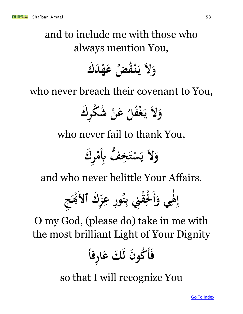and to include me with those who always mention You,

**ك د ْ ه ُض ع ق ُ ْ ن ي ل و**

who never breach their covenant to You,

**ك ر ِ ْك ش ُ ْ ن ع ُ فل ُْ غ ي ل و**

who never fail to thank You,

**ب ِ ُّف خ ِ ت ْ س ي ل ك ر ِ و ْ م**

and who never belittle Your Affairs.

 **ي و ِ ٰ َل ِ ك ٱل ِ إ أ ز ِ ر ع ِ و ُ ن ِ ِِن ب ق ْ ج ِ ِ ْل ْ ْب ْ**

O my God, (please do) take in me with the most brilliant Light of Your Dignity

 **أ ً ف رفا ِ ا ك ع ن ل ُكو**

so that I will recognize You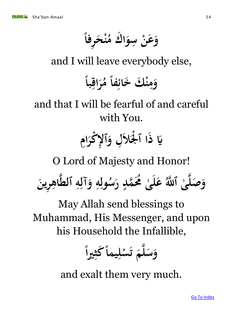

**ً رفا ح ن ِ ْ ُ** وَعَنْ سِوَاك مُ  **ا ِ** 

and I will leave everybody else,

**ً با اق ر ِ ُ** وَمِنْكَ خَائِفاً مُ **ً** <u>می</u><br>پی **ِ** 

and that I will be fearful of and careful with You.

> يَا ذَا ٱلْجَلاَلِ وَٱلإِكْرَامِ  **2 ٱ ِ ْ**

O Lord of Majesty and Honor!

 وَصَلَّىٰ ٱللَّٰهُ عَلَىٰ مُحَمَّدٍ رَسُولِهِ وَآلِهِ ٱلطَّاهِرِينَ **ٍ ٰ ٰ ِ ِ ِ ِ ِ ِ ُ** ر<br>**سہ**<br>-

May Allah send blessings to Muhammad, His Messenger, and upon his Household the Infallible,

**ً** وَسَلَّمَ تَسْلِيماً كَثِيراً **ِ ْ ق ت** 

and exalt them very much.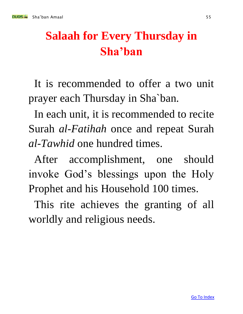# **Salaah for Every Thursday in Sha'ban**

It is recommended to offer a two unit prayer each Thursday in Sha`ban.

In each unit, it is recommended to recite Surah *al-Fatihah* once and repeat Surah *al-Tawhid* one hundred times.

After accomplishment, one should invoke God's blessings upon the Holy Prophet and his Household 100 times.

This rite achieves the granting of all worldly and religious needs.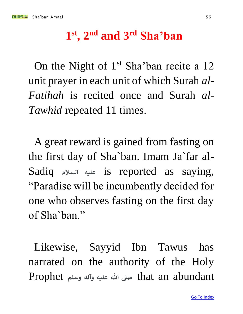### **1 st, 2nd and 3rd Sha'ban**

On the Night of  $1<sup>st</sup>$  Sha'ban recite a 12 unit prayer in each unit of which Surah *al-Fatihah* is recited once and Surah *al-Tawhid* repeated 11 times.

A great reward is gained from fasting on the first day of Sha`ban. Imam Ja`far al-Sadiq **السالم عليه** is reported as saying, "Paradise will be incumbently decided for one who observes fasting on the first day of Sha`ban."

Likewise, Sayyid Ibn Tawus has narrated on the authority of the Holy abundant an that **صىل هللا عليه وآله وسلم** Prophet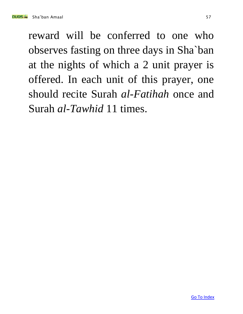reward will be conferred to one who observes fasting on three days in Sha`ban at the nights of which a 2 unit prayer is offered. In each unit of this prayer, one should recite Surah *al-Fatihah* once and Surah *al-Tawhid* 11 times.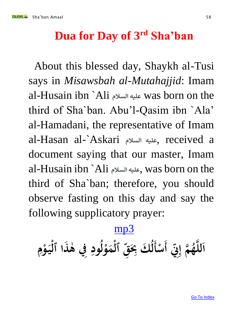### **Dua for Day of 3rd Sha'ban**

About this blessed day, Shaykh al-Tusi says in *Misawsbah al-Mutahajjid*: Imam al-Husain ibn `Ali **السالم عليه** was born on the third of Sha`ban. Abu'l-Qasim ibn `Ala' al-Hamadani, the representative of Imam al-Hasan al-`Askari **السالم عليه**, received a document saying that our master, Imam al-Husain ibn `Ali **السالم عليه**, was born on the third of Sha`ban; therefore, you should observe fasting on this day and say the following supplicatory prayer:

### [mp3](http://www.duas.org/mp3/Shaban_amal/3shaban.mp3)

**ِن ِ ِ** ٱللَّهُمَّ إِنِّي أَسْأَلُكَ بِحَقِّ ٱلْمَوْلُودِ فِي هٰذَا ٱلْيَوْمِ  $\int$ **ْ ِ ْ 2 ْ** .<br>.<br>. **ِ ل ْ ْ )、**<br>● **ِ ل**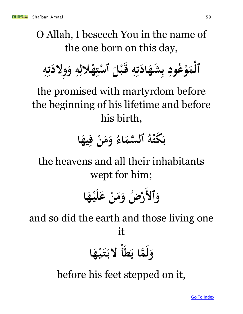# O Allah, I beseech You in the name of the one born on this day,

 **و ِ ه ِ ْالل ه ِ ت ْ ٱس ْل ب ق ِ ه ِ ت اد شه ِ ب ِ ود ُ ع ْ و م ْ ٱل ِ ه ِ ت ولد ِ**

the promised with martyrdom before the beginning of his lifetime and before his birth,

### **ا يه ف ن م و ِ ُ اء سم ه ٱل ُ ه كت ْ ب**<br>. **ب**

the heavens and all their inhabitants wept for him;

> **ٱل و ا ه ي ل ْ ع ن م ْ ُض و ر ْ**

and so did the earth and those living one it

 **ط ما ي ه ل ا ْ و أ ه ْ ي ت لب** 

before his feet stepped on it,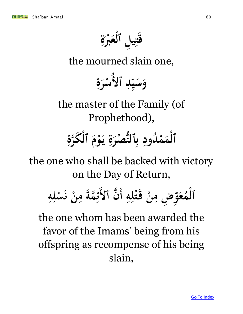

the mourned slain one,

**ُ ٱل د ِ سا 22 ي س و ة ر س ِ ْ**

the master of the Family (of Prophethood),

### **ِ رة ْ كه ٱل م و ي ة صر ُّ ٱلن دود ُ ْ م م ٱل ْ ياء**<br>ماء **ِ ْ** .<br>ب **ب**<br>۶ **ِ ْ**

the one who shall be backed with victory on the Day of Return,

**ِ ه ل ت ق ن ض م ِ ِ ِ ْ ِ و ع ∕ 1 ن ٱل ه م أ ٱل ه ل س ن م مة ه ْ ِ ِ ْ** .<br>.<br>. **ن ِ**  ءِ<br>پا ء<br>ر

the one whom has been awarded the favor of the Imams' being from his offspring as recompense of his being slain,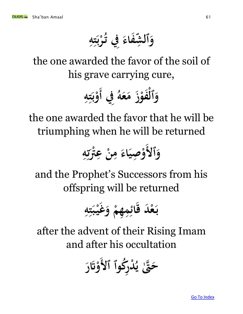**ِ ه ت ر ُ ِِف ت فاء ش ٱل و } ي**<br>. **ب ْ**  بر<br>مبر<br>ا 

the one awarded the favor of the soil of his grave carrying cure,

**ِِف ُ ه ع م ز ْ فو ْ ٱل و أ ِ ه ِ ت ب ْ و**

the one awarded the favor that he will be triumphing when he will be returned

> **• ٱل و صي و ه َّت ْ ع ن م اء 2 ِ ْ ِ ِ** ل**ئا**<br>^  **ْ ِ ِ**

and the Prophet's Successors from his offspring will be returned

**ْ هم ِ ِ م ِ ائ د ق ْ ع ب ِ ه ِ ت ب ْ ي غ و**

after the advent of their Rising Imam and after his occultation

 **ُكوٱ ٱل ر ِ د ُْ ي َّتٰ ه ح ر َْت و**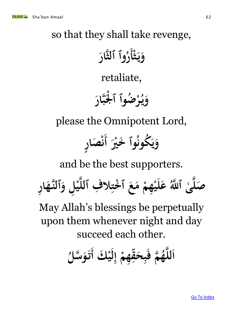### so that they shall take revenge,

**ْ ث ي و أ هار وٱ ٱلث ياء**<br>ماء  **ُ ر**

retaliate,

 **هار ب ْل ضوٱ ٱ ُ ْ ر ْ یا۔ ي و** 

please the Omnipotent Lord,

 **ري خْ وٱ ُ ُكون ر ا ص و أ ياء**<br>ما ر<br>يو  **∫**  $\int$  **ئی**<br>با **ن**

and be the best supporters.

صَلَّىٰ ٱللَّهُ عَلَيْهِمْ مَعَ ٱخْتِلافِ ٱللَّيْلِ وَٱلنَّهَارِ **ِ ِ ِ } ْ ٱ ْ ِ**  $\frac{1}{2}$  $\frac{1}{2}$  **ٰ** 

May Allah's blessings be perpetually upon them whenever night and day succeed each other.

**ْ ك ي هم ق ح ب م ف ُ ه ه ه لل ا أ ل ِ إ ْ ِ 330 ِ**   $\int$ **ُ تَوَسَّلُ**ّ  **ّ**<br>أ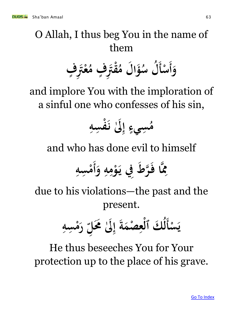

### O Allah, I thus beg You in the name of them

 **وأ ْ ف سأ ٍ ِ َّت ْ ع ُ ف م ٍ ِ َّت ق ْ ُ ل م ا ؤ ُ ل س ُ**

and implore You with the imploration of a sinful one who confesses of his sin,

**ُ م ِ سه ِ ف ْ َٰل ن ِ إ ٍ سيء ِ**

and who has done evil to himself

 **و ِ ه ِ م ْ و ِِف ي ط ر ه ا ف ه ِ َم أ ِ سه ِ ْ م**

due to his violations—the past and the present.

**ْ س ي أ ِ سه ِ ْ م ر ِ ُم ل َٰل ِ إ ة صم ْ ِ ع ْ ك ٱل ُ ل**

He thus beseeches You for Your protection up to the place of his grave.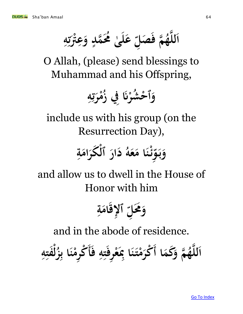**ِ ه َّت ع و مد ُم ه ُ ى ل ع لا**<br>با تي<br>^  **ْ ِ ٍ ٰ ِ صل م ف ُ ه ه ه لل ا**

O Allah, (please) send blessings to Muhammad and his Offspring,

### **ِ ه ر م ُ ِِف ز َن شر ُ ْ ٱح و** .<br>في **تي**<br>7  **ْ ْ**

include us with his group (on the Resurrection Day),

**ِ ة ام ْ كر ٱل ار د ُ ه ع ا م ن ْ ئ ِ و ب و**

and allow us to dwell in the House of Honor with him

**ِ ة ام إلق ِ ٱ ِ ُم ل و**

and in the abode of residence.

**ا كم م و ُ ه ه ه لل ا أ ْ م ْكر ف ِ ه ِ ت رف ِ ْ ع ِ ا ِب ن ت أ ِ ه ِ فت ْ ل ُ ز ِ ا ب ن ْ رم ِ ْك**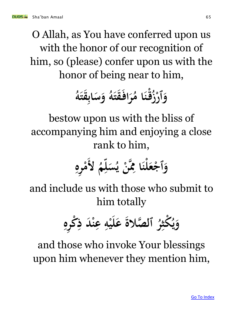O Allah, as You have conferred upon us with the honor of our recognition of him, so (please) confer upon us with the honor of being near to him,

### **ُ ه قت اب س و**  با<br>ب  **ُ ه قت اف ر ُ ا م ْ ن ق ُ ز ٱر و <sup></sup>**

bestow upon us with the bliss of accompanying him and enjoying a close rank to him,

 **ُ ل م ِ ل س ُ ي ْ ن ه ِ ا َم لن ْ ع ْ ٱج و ِ ره ِ ْ م**

and include us with those who submit to him totally

**ِ ره ِ ْك ِ د ذ ْ ن ِ ع ِ ه ْ ي ل ع صالة ٱل ه ُ ر ِ ْكث ُ ي و**

and those who invoke Your blessings upon him whenever they mention him,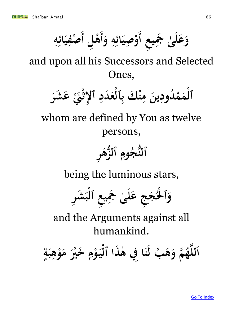**ع ي َج ى ل ع و أ و ه ائ صي ل و أ ه أ ه ائ ي صف ِ** .<br>هم **2 ٰ**   $\int$  **ِ** ر<br>با **22 ِ ْ ِ**  $\int$ **ْ**  $\int$ **ِ** ءِ<br>پا **2 ِ ْ**

and upon all his Successors and Selected Ones,



whom are defined by You as twelve persons,

**ر ِ زه ٱلُّ ِ وم ُ ج ُّ ٱلن**

being the luminous stars,

**ر ِ ش ب ْ ع ٱل ِ ي ِ َج ى ٰ ل ج ع ِ ج ُ ْل ْ ٱ و**

and the Arguments against all humankind.

 **ري خْ م و ي ذا ٱل ه ِِف ٰ ا ن ب ل ِ ْ 2 ْ فب ه م و ُ ه ه ه لل ة ب ه و م ا ٍ ِ ْ**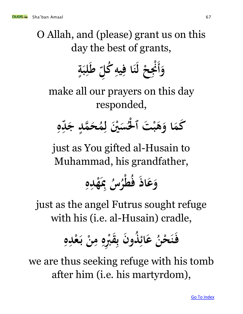O Allah, and (please) grant us on this day the best of grants,

 **وأ ٍ ة ب ِ ل ط ِ ُكل ِ يه ِ ا ف ن ل ْ ِح َن ْ**

make all our prayers on this day responded,

**ِ ه ِ د ج ٍ مد ه ح ُ م ِ ني ل ْ س ُ ْل ْ ت ٱ ْ ب ه ا و كم**

just as You gifted al-Husain to Muhammad, his grandfather,

> **ِ ه د ه ِب ِ ْ <u></sub>**</u> **ُ س ُ ر ُط ف اذ ع و ْ**

just as the angel Futrus sought refuge with his (i.e. al-Husain) cradle,

### ءِ<br>پا **ائ ع ُ حن ْ ن ف ه ْد ع ب ن م ه ُب ق ن ب ذو ُ ِ ِ ب**<br>. **ِ ِ ِ ْ**  ر<br>ب

we are thus seeking refuge with his tomb after him (i.e. his martyrdom),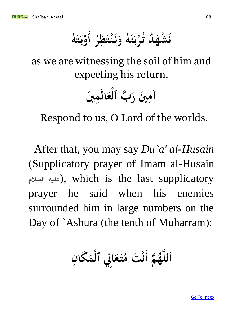.<br>.<br>. **ن و ُ** لَشْهَلُهُ تُرْبَتَهُ وَنَنْتَظِرُ **22 ب**<br>. **ْ ن ر ظ ت ن أ ِ ْ**  $\int$ **ُ ه ت ب و 22 ب**<br>. **ْ**

as we are witnessing the soil of him and expecting his return.

> **ني م ال ع ب ٱل ه ني ر آم ▲ ْ ِ**

Respond to us, O Lord of the worlds.

After that, you may say *Du`a' al-Husain* (Supplicatory prayer of Imam al-Husain  **السالم عليه**(, which is the last supplicatory prayer he said when his enemies surrounded him in large numbers on the Day of `Ashura (the tenth of Muharram):

اَللَّهُمَّ أَنْتَ مُتَعَالِي ٱلْمَكَانِ  $\int$  **ْ 22 ُ** قت هُ<br>نت هُ **ن**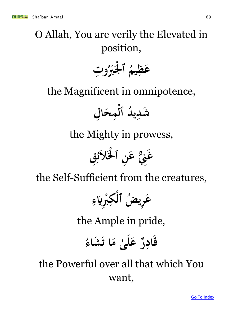# O Allah, You are verily the Elevated in position,

**ت و ِ ُ ُب ْل ْ ٱ ُ يم ِ ظ ع**

the Magnificent in omnipotence,

**ل ِ ا ح ِ م ْ د ٱل ُ ي ِ شد** 

the Mighty in prowess,



the Self-Sufficient from the creatures,

**ر ِ ع ِ ء َّي ِ ُب ْ ِ ْك ُض ٱل ي**

the Ample in pride,

قادِرٌ عَل<sub>َیٰ</sub> **ٰ <u></sub>**</u>  **ُ شاء ا ت م** 

the Powerful over all that which You want,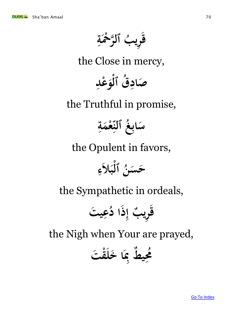**ِ ة ْح ر ه ب ٱل ْ ُ ري ق }** 

the Close in mercy,

**ِ عد و ُق ٱل صاد ْ ْ ِ** 

the Truthful in promise,

**ِ ة م ع غ ٱلن ُ اب س ْ** س<br>**بر ب** 

the Opulent in favors,



the Sympathetic in ordeals,

**ت ي ِ ع ُ ا د ذ ِ ب إ ري ِ ق**

the Nigh when Your are prayed,

**ت ق ْ خل ا ِ ط ِب ي ِ ُم ُ**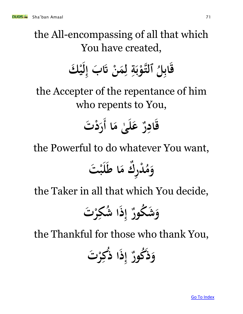the All-encompassing of all that which You have created,

**ْ ك ي ل ِ ب إ ْ َت ن م ِ ل ِ ة ب ْ ه و ٱلت ُ ِل اب ق**

the Accepter of the repentance of him who repents to You,

> قادِرٌ عَلَىٰ مَا أَرَدْتَ  **ٰ <u></sub>**</u>  $\int$

the Powerful to do whatever You want,

**ت ْ ب ل ا ط ك م ر ِ د ْ ُ م و**

the Taker in all that which You decide,

**ت ْ ر ِ شك ُ ا ذ ِ إ ُكور ش و**

the Thankful for those who thank You,

**ت ْ ر ِ ك ُ ا ذ ذ ِ إ ُكور ذ و**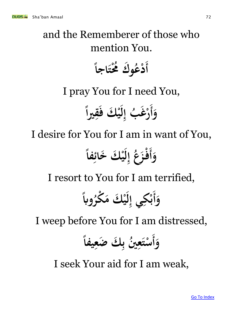and the Remember of those who mention You.  
\n
$$
[1]
$$
 from You.  
\n $[1]$  and you for I need You,  
\n $[1]$  for I need You.  
\n $[1]$    
\n $[1]$    
\n $[1]$    
\n $[1]$    
\n $[1]$    
\n $[1]$    
\n $[1]$    
\n $[1]$    
\n $[1]$    
\n $[1]$    
\n $[1]$    
\n $[1]$    
\n $[1]$    
\n $[1]$    
\n $[1]$    
\n $[1]$    
\n $[1]$    
\n $[1]$    
\n $[1]$    
\n $[1]$    
\n $[1]$    
\n $[1]$    
\n $[1]$    
\n $[1]$    
\n $[1]$    
\n $[1]$    
\n $[1]$    
\n $[1]$    
\n $[1]$    
\n $[1]$    
\n $[1]$    
\n $[1]$    
\n $[1]$    
\n $[1]$    
\n $[1]$    
\n $[1]$    
\n $[1]$    
\n $[1]$    
\n $[1]$    
\n $[1]$    
\n $[1]$    
\n $[1]$    
\n $[1]$    
\n $[1]$    
\n $[1]$    
\n $[1]$    
\n $$ 

I seek Your aid for I am weak,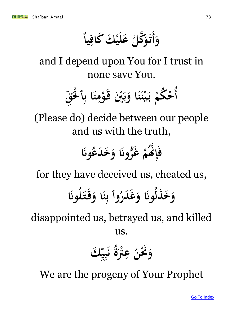**ً** وَأَتَوَكَّلُ عَلَيْكَ كَافِياً  $\int$ **ِ**  $\frac{1}{2}$  **ُ** تَوَكَّلُ 

and I depend upon You for I trust in none save You.



(Please do) decide between our people and us with the truth,

 **روَن ُّ غ ْ م َّنُ ه ِ إ ف وَن ُ دع خ و**

for they have deceived us, cheated us,

 **وَن ُ ل ت ق ا و ن ِ وٱ ب ُ در غ و وَن ُ ذل خ و**

disappointed us, betrayed us, and killed us.

 **ك ِ ي ِ ب ن ُ ة َّت ْ ِ ع ُ ن َنْ و**

We are the progeny of Your Prophet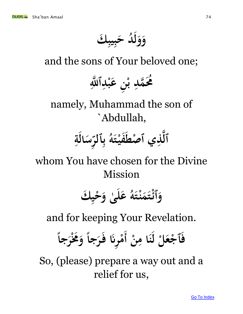**ك يب ب د ح ُ و و ِ ∤ ل** 

and the sons of Your beloved one;

ِ<br>|<br>|} **مُحَمَّدِ بْنِ عَبْدِٱللَّهِ ِ ∫ يا**<br>با **ب ِ**

namely, Muhammad the son of `Abdullah,

> **ِ** سَالَةِ  ں<br>ب  **ٱلر** .<br>ب **ب**<br>۶ **ُ ه ت في صط ِي ٱ ذ ه ٱل**  *<u>t</u>*  **ْ**

whom You have chosen for the Divine Mission

> **ك ي ح ى و ل ع ↓ ْ ٰ ُ ه ت ن م ت ٱئ و ْ ْ**

and for keeping Your Revelation.

فَأَجْعَلْ لَنَا مِنْ أَمْرِنَا فَرَجاً وَمُخْرَجاً  **ل ْ ْ ِ ْ ً ِ ْ ً** 

So, (please) prepare a way out and a relief for us,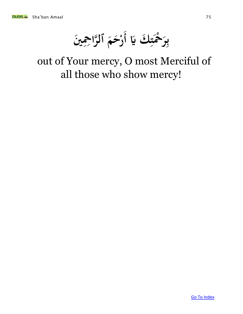

 بِرَحْمَتِكَ يَا أَرْحَمَ ٱلرَّاحِمِينَ **} ْ بہ**  $\int$ م<br>مر **رْحَمَ ٱلرَّا ْ**

### out of Your mercy, O most Merciful of all those who show mercy!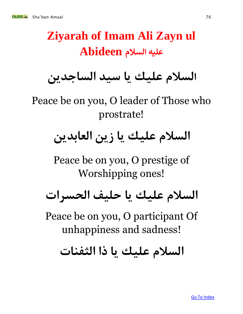# **Ziyarah of Imam Ali Zayn ul عليه السالم Abideen**

# **السالم عليك يا سيد الساجدين**

Peace be on you, O leader of Those who prostrate!

# **السالم عليك يا زين العابدين**

Peace be on you, O prestige of Worshipping ones!

# **السالم عليك يا حليف الحسرات**

Peace be on you, O participant Of unhappiness and sadness!

**السالم عليك يا ذا الثفنات**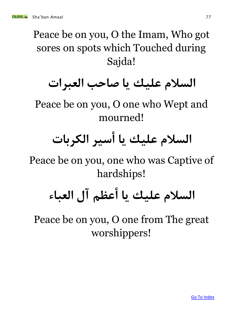Peace be on you, O the Imam, Who got sores on spots which Touched during Sajda!

# **السالم عليك يا صاحب العبرات**

Peace be on you, O one who Wept and mourned!

# **السالم عليك يا أسير الكربات**

Peace be on you, one who was Captive of hardships!

# **السالم عليك يا أعظم آل العباء**

Peace be on you, O one from The great worshippers!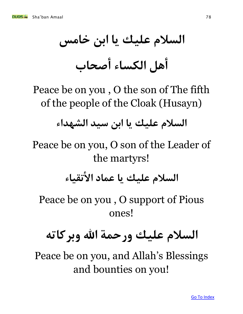**السالم عليك يا ابن خامس أهل الكساء أصحاب**

Peace be on you , O the son of The fifth of the people of the Cloak (Husayn)

**السالم عليك يا ابن سيد الشهداء** 

Peace be on you, O son of the Leader of the martyrs!

**السالم عليك يا عماد األتقياء**

Peace be on you , O support of Pious ones!

# **السالم عليك ورحمة اهلل وبركاته**

Peace be on you, and Allah's Blessings and bounties on you!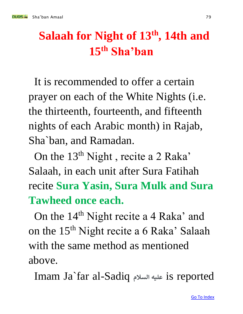## **Salaah for Night of 13th, 14th and 15th Sha'ban**

It is recommended to offer a certain prayer on each of the White Nights (i.e. the thirteenth, fourteenth, and fifteenth nights of each Arabic month) in Rajab, Sha`ban, and Ramadan.

On the 13<sup>th</sup> Night, recite a 2 Raka' Salaah, in each unit after Sura Fatihah recite **Sura Yasin, Sura Mulk and Sura Tawheed once each.**

On the 14<sup>th</sup> Night recite a 4 Raka' and on the  $15<sup>th</sup>$  Night recite a 6 Raka' Salaah with the same method as mentioned above.

Imam Ja`far al-Sadiq **السالم عليه** is reported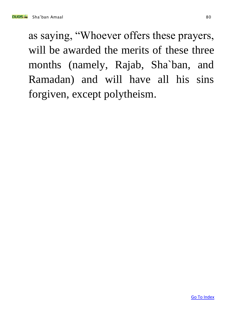as saying, "Whoever offers these prayers, will be awarded the merits of these three months (namely, Rajab, Sha`ban, and Ramadan) and will have all his sins forgiven, except polytheism.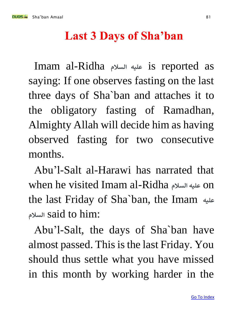### **Last 3 Days of Sha'ban**

Imam al-Ridha **السالم عليه** is reported as saying: If one observes fasting on the last three days of Sha`ban and attaches it to the obligatory fasting of Ramadhan, Almighty Allah will decide him as having observed fasting for two consecutive months.

Abu'l-Salt al-Harawi has narrated that when he visited Imam al-Ridha **السالم عليه** on the last Friday of Sha`ban, the Imam **ه علي السالم** said to him:

Abu'l-Salt, the days of Sha`ban have almost passed. This is the last Friday. You should thus settle what you have missed in this month by working harder in the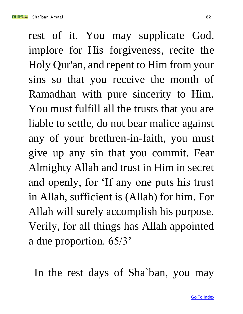nun Sha'ban Amaal 82

rest of it. You may supplicate God, implore for His forgiveness, recite the Holy Qur'an, and repent to Him from your sins so that you receive the month of Ramadhan with pure sincerity to Him. You must fulfill all the trusts that you are liable to settle, do not bear malice against any of your brethren-in-faith, you must give up any sin that you commit. Fear Almighty Allah and trust in Him in secret and openly, for 'If any one puts his trust in Allah, sufficient is (Allah) for him. For Allah will surely accomplish his purpose. Verily, for all things has Allah appointed a due proportion. 65/3'

In the rest days of Sha`ban, you may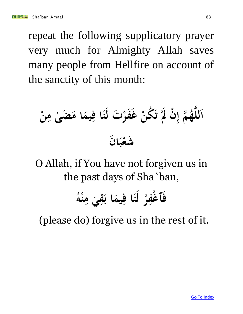repeat the following supplicatory prayer very much for Almighty Allah saves many people from Hellfire on account of the sanctity of this month:

**ن ْ ِ م إ ُ ه ه ه لل ا ِ ى م ض ٰ ا م يم ِ ا ف ن ت ل ْ فر ْ غ ُكن ت ْ َل ْ ن ن ا ب ْ شع** 

O Allah, if You have not forgiven us in the past days of Sha`ban,

**ُ ه ْ ن ِ م ي ِ ق ا ب يم ِ ا ف ن ل ْ ر ِ غف ٱ ْ ف**

(please do) forgive us in the rest of it.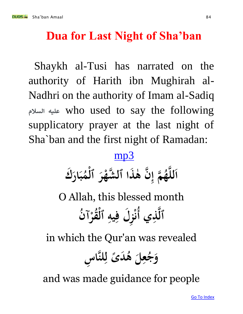### **Dua for Last Night of Sha'ban**

Shaykh al-Tusi has narrated on the authority of Harith ibn Mughirah al-Nadhri on the authority of Imam al-Sadiq  **السالم عليه** who used to say the following supplicatory prayer at the last night of Sha`ban and the first night of Ramadan:

### [mp3](http://www.duas.org/mp3/lastshaban.mp3)

**ذا ٱل ه ن ٰ ه ِ م إ ُ ه ه ه ك لل ا ار ب ُ م ْ ٱل ر ْ شه ه**

O Allah, this blessed month **ِي ذ ه ُ ن ٱل أ آ ُ قر ُْ ٱل يه ل ف ز ْ ِ ِ ِ** ر<br>بال<br>بال **ن**

in which the Qur'an was revealed

**س ِ ها لن ِ ل ً دى ُ ه ل ِ ع ُ ج و**

and was made guidance for people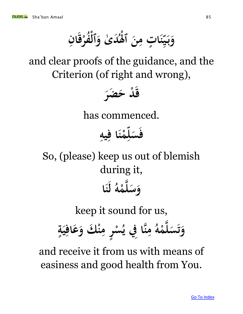**ِ ان ق فر ُ ٱل د ٰى و ُ َل ن ت م ا ن ْ ْ ْ ٱ ِ ٍ سا**<br>بالم **22 ي ب و ب**<br>. 

and clear proofs of the guidance, and the Criterion (of right and wrong),



has commenced.

**ِ يه ا ف ن م ل س ف ِ**  $\frac{1}{2}$ **ْ** بر<br>|<br>| 

So, (please) keep us out of blemish during it, **ا ن ل ُ ه م ه ل س و ْ** 

keep it sound for us,

**ٍ ة ي اف ع ْ ك و ن ر م س 2 ِ ِ ٍ ْ ُ ِِف ي ها ن م ِ ُ ه م ه ل س و ْ**  ۆ<br>.<br>. ر<br>1<br>-

and receive it from us with means of easiness and good health from You.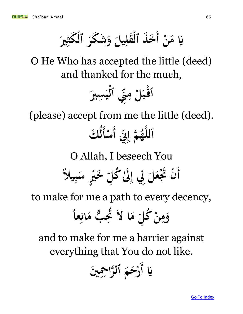**ن م َّي أ**   $\int$ خَذَ ٱلْقَلِيلَ وَشَكَرَ ٱلْكَثِيرَ  **ِ ْ** 

O He Who has accepted the little (deed) and thanked for the much,

 **ْ ٱق سري ِ ي ْ ٱل ِن ِ ِ م ْ ل ب**

(please) accept from me the little (deed). **ِن ِ ِ م إ ُ ه ه ه لل ا أ ك ْ ُ سأ**   $\int$ **ل**

O Allah, I beseech You

 **يالً أ ِ ب س ٍ ري خْ ِ َٰل ُكل ِ ِِل إ ل ع َتْ ن ْ**

to make for me a path to every decency,

**ا م ِ ُكل ْ ن ِ م ً عا و ل ِ ان ب م ُّ ِ َت ُ**

and to make for me a barrier against everything that You do not like.

 **ني َّي أ ْح ِِ را ه ٱل م ح ْ ر**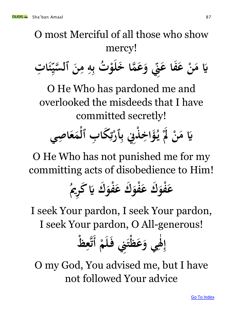O most Merciful of all those who show mercy!

**ت ا ئ ِ** ء<br>**م سا**<br>ابر **22 سي ه ٱل ن م ه ت ب ُ ْ و خل ما ه ع و ِن ِ ِ ِ ب فا ع ْ ع ن م َّي** 

O He Who has pardoned me and overlooked the misdeeds that I have committed secretly!

**صي ا ع م ب ٱل كا ٱر ِِن ب ذ اخ ؤ ِ ْ ِ** ِ<br>**پی تي**<br>ج **<sup><sup>1</sup></sup>** .<br>ب **<sup>** $\frac{1}{2}$ **</sup> ِ** <u>و</u><br>و **یا۔ ي َل ن م َّي ْ** 

O He Who has not punished me for my committing acts of disobedience to Him!

### **ُ** عَفْوَك عَفْوَك عَفْوَك يَا كُرِيمُ **<u>با</u> ْ ْ ْ**

I seek Your pardon, I seek Your pardon, I seek Your pardon, O All-generous!

**ْ م ل ِِن ف ت ظ ع ي و َل ظ ْ إ أ ع ه ْ**  ِ<br>ک **ٰ ِ ِ ت**

O my God, You advised me, but I have not followed Your advice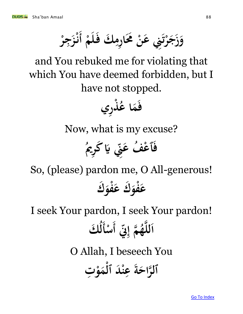**ْ** وَزَجَرْتَنِي عَنْ مَحَارِمِكَ فَلَمْ أَنْزَجِرْ  **ِ ِ**  ۆ<br>.<br>. ر<br>2<br>-**ْ**   $\int$ **ْ ِ** .<br>.<br>. **ئی**<br>با

and You rebuked me for violating that which You have deemed forbidden, but I have not stopped.



Now, what is my excuse?



So, (please) pardon me, O All-generous! **عَفْوَك عَفْوَك ْ ْ**

I seek Your pardon, I seek Your pardon! **ین**<br>چې  **ِ م إ ُ ه ه ه لل ا أ ك ْ ُ سأ**   $\int$ **ل** O Allah, I beseech You **ت و م د ٱل ْ ن ع ة راح ه ٱلِ ْ ْ ِ**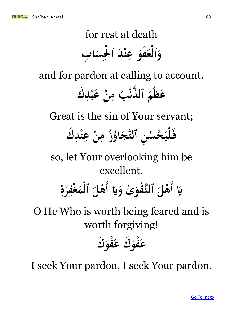### for rest at death **ب ا س ْل د ٱ ْ ن ع فو ع ٱل و ِ**  ِ<br>په موا **ْ ِ ْ ْ**

and for pardon at calling to account.

**ك ِ ْد ب ْ ع ن ِ ب م ُ ْ ذن ٱل ه م ُ ظ ع**

Great is the sin of Your servant;

### **ك د ن ْ ع ن م ُ ز ِ ْ ِ ِ ُ او ج ه ن ٱلت ٍ ُ حس ب**<br>بہ **لي ْ ف**

so, let Your overlooking him be excellent.

### $\int$ **َّي أ َّي ٰى و قو ه ْ ٱلت ْل ه أ ة ر ْف غ م ٱل ْل ه**   $\int$ **ِ ِ ْ**

## O He Who is worth being feared and is worth forgiving!

**ك فو ك ع فو ع ْ ْ** 

I seek Your pardon, I seek Your pardon.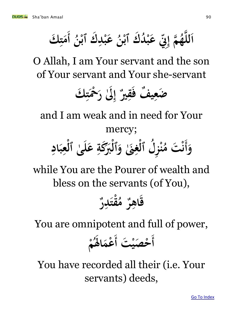**ُ عَبْدِك ٱبْنُ با**<br>با  **ِ ُ ن ك ٱب د ُ ْ ب ع ِن ِ ْ ِ م إ ُ ه ه ه لل ك ا أ ت م**  $\int$ **}** 

O Allah, I am Your servant and the son of Your servant and Your she-servant

 **ك ت ْح َٰل ر } ْ ِ إ ري ق ف ف ي ضع 2021 ِ** 

and I am weak and in need for Your mercy;   $\int$ وَأَنْتَ مُنْزِلُ ٱلْغِنَىٰ **غ ل ٱل ُ ز ن ْ ِ ْ ُ** نْتَ مُنْزِلُ ٱلْغِنَىٰ وَٱلْبَرَكَةِ عَلَىٰ ٱلْعِبَادِ **ن ِ ِ ْ ٰ ِ ْ** 

while You are the Pourer of wealth and bless on the servants (of You),



You are omnipotent and full of power,

 $\int$ أخْصَيْتَ<br>أ د<u>م</u>د  $\int$ حْصَيْتَ أَعْمَاهُمْ **ْ ُ َل ا عم**  $\frac{1}{2}$  **ْ**

You have recorded all their (i.e. Your servants) deeds,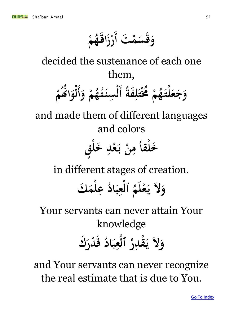**ت ْ م س ق و أْ م**   $\int$ **ُ ه اق ز ر**  

decided the sustenance of each one them,

**ً فة ِ ل ت ْ ُم ُ ْ م ُ ه لت ْ ع ج و أ و ْ م ُ ه ُ ت سن ِ ْ أ ل ْ م َّنُ ُ ا و ْ ل**

and made them of different languages and colors

**ق ٍ ل ْ خ ِ ْد ع ب ْ ن ِ م ً لقا ْ خ** 

in different stages of creation.

### **ك لم ع ْ ِ ُ اد ب ع ٱل ِ ْ ُ م ل ع ي ل و ْ ياء**<br>ماء

Your servants can never attain Your knowledge **ك در ْ ق اد ب ع ٱل ِ ْ** ابر<br>ما **وَلاَ يَقْدِرُ ِ ْ** 

and Your servants can never recognize the real estimate that is due to You.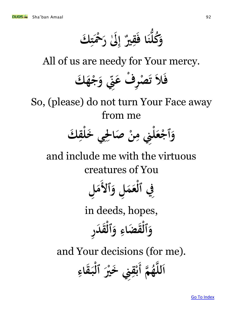**ك ت ْح َٰل ر } ْ ِ إ ري ق ا ف ن ُّ ُكل و 222** 

All of us are needy for Your mercy.



So, (please) do not turn Your Face away from me



and include me with the virtuous creatures of You

**1 ٱل ل و م ع ل ٱل ِِف م ِ ْ ِ** 

in deeds, hopes, **ر د ق ٱل و ضاء ق ٱل و ِ ْ ِ ْ** 

and Your decisions (for me).

**م ُ ه ه ه لل ِِن ا أ ق قاء ب ٱل ري خْ**  $\int$ *<u>*</u> ـابر<br>ما **ب ِ ْ**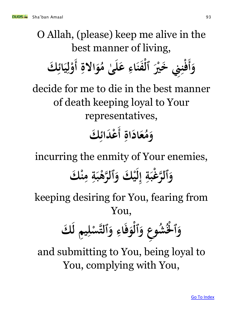O Allah, (please) keep me alive in the best manner of living,   $\int$ وَأَفْنِنِي خَيْرَ ٱلفَنَاءِ عَلَىٰ مُوَالاةِ **ٰ ِ ْ ِ ْ ِ مُوَالاةِ أَوْلِيَائِكَ**  $\int$ ء<br>**با 22 ِ ل ْ**

decide for me to die in the best manner of death keeping loyal to Your representatives, **ِ اة اد ع ُ م ك و أ دائ ع**   $\int$ ر<br>ليا  **ْ**

incurring the enmity of Your enemies, وَٱلرَّغَبَةِ إِلَيْكَ وَٱلرَّهْبَةِ مِنْكَ **ِ ِ ْ ل ِ إ ِ**  .<br>گ 

keeping desiring for You, fearing from You,

 **ك ِم ل ي ل س ه ٱلت و اء ف و ٱل ع و شو ْلُ ُ و ِ ْ ِ ْ ∕ ْ ٱ** 

and submitting to You, being loyal to You, complying with You,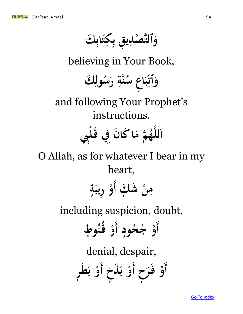**ا ت ك ق ب صد ه ٱلت ك و ِ** ر<br>ب **ِ ي**<br>\* **ِ ْ ب ب**<br>۶ believing in Your Book,  **ك ول ِ ُ س ر هة ن ِ ُ وَٱتِّبَاعِ سُ 2**  بر:<br>**پن**  and following Your Prophet's instructions. **ه لل ِِب ل ْ ِِف ا ق ن كا ا م م ُ ه ه**  O Allah, as for whatever I bear in my heart, بر<br>— مِنْ شَكٍّ أَوْ رِيبَةٍ **ِ**  $\int$ **ٍ ِ ْ** including suspicion, doubt,  $\int$ **أ ٍ ود ُ ح ैं ج و و أ ْ**  $\int$ **ُ ُ ن ق ط و ْ ٍ** denial, despair, **ح ر ف خ ذ و أ ر ط و أ و** $\int$ **أ ْ ∤ ب**<br>. **ب ْ ٍ**   $\int$ **ي**<br>. **ب ْ**

[Go To Index](#page-1-0)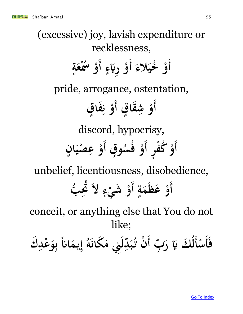(excessive) joy, lavish expenditure or recklessness,  $\int$ **أ الء خي ُ ْ و أ ء رَّي و أٍ ة ع ْس ُ ْ و**  $\int$ **ٍ ِ ْ**  $\int$  **ْ** pride, arrogance, ostentation,  $\int$ **ق أ قا ْ ش ق و أ فا و ٍ <u>بنی</u>**  $\int$ **ٍ**  <u>،</u><br>إ **ن ْ** discord, hypocrisy, **ر ف ُكْ ق و أ وٍ ٍ**  $\int$ **أ ْ**  $\int$ **ُ س ُ ف و أْ و ان صي ع ْ ٍ 22 ْ ِ**

unbelief, licentiousness, disobedience,

 $\int$ **أ ٍ ة م ظ ْ ع و أ ء شي ْ ب و ل ُّ َت ُ**   $\int$ **ٍ ْ** ∫<br>≶

conceit, or anything else that You do not like;

فأسألكَ يَا رَبِّ **ْ** سا<br>م  لُكَ يَا رَبِّ أَنْ تُبَدِّلَنِي مَكَانَهُ إِيمَاناً بِوَعْدِكَ  **ل ِ ْ ب**<br>۶ **ً ِ إ ُ ه كان ِِن م د ب ُ ن ت**  .<br>.<br>.  **ل** سا<br>ب **ْ**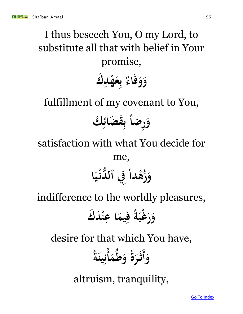# I thus beseech You, O my Lord, to substitute all that with belief in Your promise,

**ك د ه ع اء ف و و ِ ْ**  <u>ب</u> **ب**<br>۶ **ً** 

fulfillment of my covenant to You, **ً رضا ك و ضائ ق ِ**  ءِ<br>پا  ر<br>ب **ب**<br>۶

satisfaction with what You decide for

me,

### وَزُهْداً فِي ٱلدُّنْيَا **2 ئی**<br>با **ً ْ**

indifference to the worldly pleasures,

**ك د ْ ن ِ ا ع يم ِ ً ف ة غب ْ ر و**

desire for that which You have,

 **وأ م ُ ط و ً ة ر ْ ث أ ً ة ين ِ ن**

altruism, tranquility,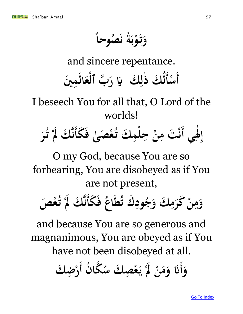**ً صُوحاً ُ** .<br>.<br>. **ن ً ة و ت و ب**<br>. **ب ْ** ۆ<br>.<br>. 

and sincere repentance.

 $\int$ **أ ْ** مْنَأَلُكَ ذٰٰلِكَ يَا رَبَّ ٱلْعَالَمِينَ  **ِ ْ ِ ل**

I beseech You for all that, O Lord of the worlds!



O my God, because You are so forbearing, You are disobeyed as if You are not present,

 وَمِنْ كَرَمِكَ وَجُودِك **تُطاعُ فَكَ ُ اع ُط ك ت ود ِ ैं** مِنْ كَرَمِكَ وَجُودِكَ تُطَاعُ فَكَأَنَّكَ لَمْ تُعْصَ  **ِ ِ فص تّاكَ لَمْ تُعْ ْ ن**

and because You are so generous and magnanimous, You are obeyed as if You have not been disobeyed at all.

 وَأَنَا وَمَنْ لَمْ يَعْصِكَ سُكَّانُ نَا وَمَنْ لَمْ يَعْصِلُ سُكَانُ أَرْضِكَ **ِ ْ ياء**<br>ماء **ْ**   $\int$ **ِ <sup></sup>**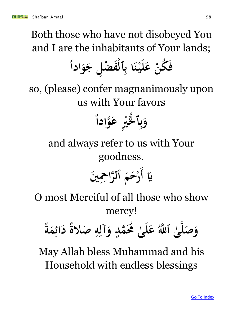Both those who have not disobeyed You and I are the inhabitants of Your lands;

**ً ادا و ل ج ِ ض ْ ف ْ ٱل ِ ا ب ن ْ ي ل ْ ع ُكن ف**

so, (please) confer magnanimously upon us with Your favors

### **ً وادا ه ع ري ْل ْ ٱ و ِ ْ** ر<br>ب **ب**<br>پر

and always refer to us with Your goodness.

 **ني َّي أ ْح ِِ را ه ٱل م ح ْ ر**

O most Merciful of all those who show mercy!

**ً ة م ِ ائ د ً صالة ِ ه ِ آل و ٍ مد ُم ه ُ ى ٰ ل ع َّللُ ى ٱ ه ٰ ه صل و**

May Allah bless Muhammad and his Household with endless blessings